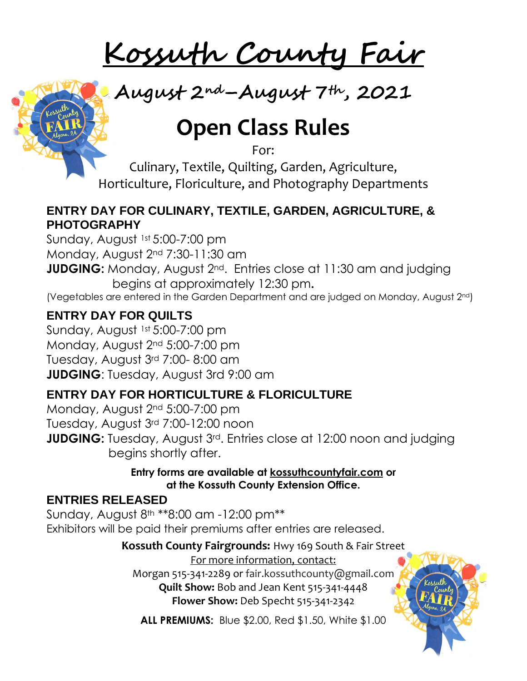# **Kossuth County Fair**



# **Open Class Rules**

For:

Culinary, Textile, Quilting, Garden, Agriculture, Horticulture, Floriculture, and Photography Departments

## **ENTRY DAY FOR CULINARY, TEXTILE, GARDEN, AGRICULTURE, & PHOTOGRAPHY**

Sunday, August 1st 5:00-7:00 pm Monday, August 2nd 7:30-11:30 am **JUDGING:** Monday, August 2<sup>nd</sup>. Entries close at 11:30 am and judging begins at approximately 12:30 pm**.**  (Vegetables are entered in the Garden Department and are judged on Monday, August 2nd)

## **ENTRY DAY FOR QUILTS**

Sunday, August 1st 5:00-7:00 pm Monday, August 2nd 5:00-7:00 pm Tuesday, August 3rd 7:00- 8:00 am **JUDGING**: Tuesday, August 3rd 9:00 am

# **ENTRY DAY FOR HORTICULTURE & FLORICULTURE**

Monday, August 2nd 5:00-7:00 pm Tuesday, August 3rd 7:00-12:00 noon **JUDGING:** Tuesday, August 3<sup>rd</sup>. Entries close at 12:00 noon and judging begins shortly after.

> **Entry forms are available at kossuthcountyfair.com or at the Kossuth County Extension Office.**

## **ENTRIES RELEASED**

Sunday, August 8th \*\*8:00 am -12:00 pm\*\* Exhibitors will be paid their premiums after entries are released.

**Kossuth County Fairgrounds:** Hwy 169 South & Fair Street

For more information, contact:

Morgan 515-341-2289 or fair.kossuthcounty@gmail.com **Quilt Show:** Bob and Jean Kent 515-341-4448 **Flower Show:** Deb Specht 515-341-2342

**ALL PREMIUMS:** Blue \$2.00, Red \$1.50, White \$1.00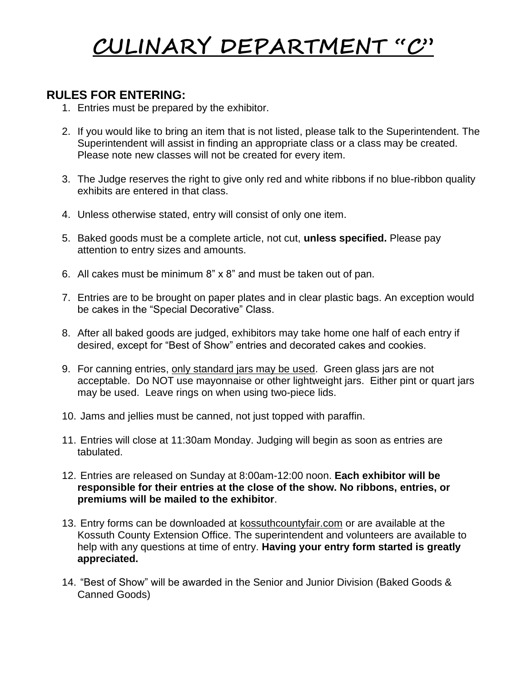# **CULINARY DEPARTMENT "C"**

## **RULES FOR ENTERING:**

- 1. Entries must be prepared by the exhibitor.
- 2. If you would like to bring an item that is not listed, please talk to the Superintendent. The Superintendent will assist in finding an appropriate class or a class may be created. Please note new classes will not be created for every item.
- 3. The Judge reserves the right to give only red and white ribbons if no blue-ribbon quality exhibits are entered in that class.
- 4. Unless otherwise stated, entry will consist of only one item.
- 5. Baked goods must be a complete article, not cut, **unless specified.** Please pay attention to entry sizes and amounts.
- 6. All cakes must be minimum 8" x 8" and must be taken out of pan.
- 7. Entries are to be brought on paper plates and in clear plastic bags. An exception would be cakes in the "Special Decorative" Class.
- 8. After all baked goods are judged, exhibitors may take home one half of each entry if desired, except for "Best of Show" entries and decorated cakes and cookies.
- 9. For canning entries, only standard jars may be used. Green glass jars are not acceptable. Do NOT use mayonnaise or other lightweight jars. Either pint or quart jars may be used. Leave rings on when using two-piece lids.
- 10. Jams and jellies must be canned, not just topped with paraffin.
- 11. Entries will close at 11:30am Monday. Judging will begin as soon as entries are tabulated.
- 12. Entries are released on Sunday at 8:00am-12:00 noon. **Each exhibitor will be responsible for their entries at the close of the show. No ribbons, entries, or premiums will be mailed to the exhibitor**.
- 13. Entry forms can be downloaded at kossuthcountyfair.com or are available at the Kossuth County Extension Office. The superintendent and volunteers are available to help with any questions at time of entry. **Having your entry form started is greatly appreciated.**
- 14. "Best of Show" will be awarded in the Senior and Junior Division (Baked Goods & Canned Goods)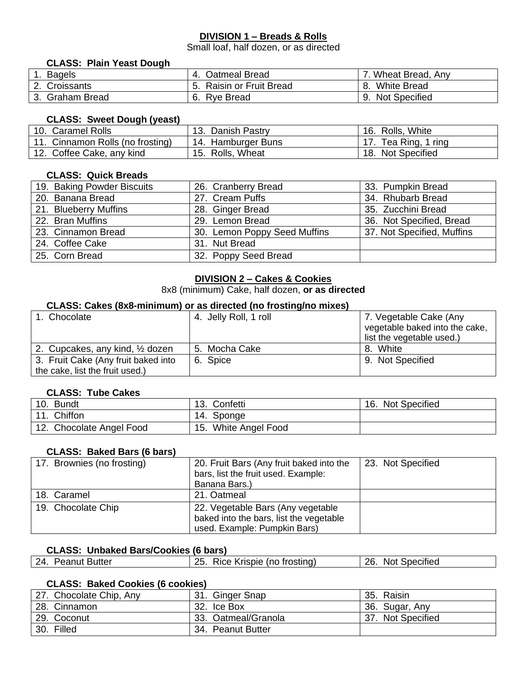#### **DIVISION 1 – Breads & Rolls**

Small loaf, half dozen, or as directed

#### **CLASS: Plain Yeast Dough**

| <b>Bagels</b>       | Oatmeal Bread<br>$-4.$       | . Wheat Bread, Any       |
|---------------------|------------------------------|--------------------------|
| Croissants          | <b>Raisin or Fruit Bread</b> | <b>White Bread</b><br>8. |
| <b>Graham Bread</b> | Rye Bread                    | <b>Not Specified</b>     |

#### **CLASS: Sweet Dough (yeast)**

| 10. Caramel Rolls                | 13. Danish Pastry  | 16. Rolls, White     |
|----------------------------------|--------------------|----------------------|
| 11. Cinnamon Rolls (no frosting) | 14. Hamburger Buns | 17. Tea Ring, 1 ring |
| 12. Coffee Cake, any kind        | 15. Rolls, Wheat   | 18. Not Specified    |

#### **CLASS: Quick Breads**

| 19. Baking Powder Biscuits | 26. Cranberry Bread          | 33. Pumpkin Bread          |
|----------------------------|------------------------------|----------------------------|
| 20. Banana Bread           | 27. Cream Puffs              | 34. Rhubarb Bread          |
| 21. Blueberry Muffins      | 28. Ginger Bread             | 35. Zucchini Bread         |
| 22. Bran Muffins           | 29. Lemon Bread              | 36. Not Specified, Bread   |
| 23. Cinnamon Bread         | 30. Lemon Poppy Seed Muffins | 37. Not Specified, Muffins |
| 24. Coffee Cake            | 31. Nut Bread                |                            |
| 25. Corn Bread             | 32. Poppy Seed Bread         |                            |

#### **DIVISION 2 – Cakes & Cookies**

8x8 (minimum) Cake, half dozen, **or as directed**

#### **CLASS: Cakes (8x8-minimum) or as directed (no frosting/no mixes)**

| 1. Chocolate                        | 4. Jelly Roll, 1 roll | 7. Vegetable Cake (Any         |
|-------------------------------------|-----------------------|--------------------------------|
|                                     |                       | vegetable baked into the cake, |
|                                     |                       | list the vegetable used.)      |
| 2. Cupcakes, any kind, 1/2 dozen    | 5. Mocha Cake         | 8. White                       |
| 3. Fruit Cake (Any fruit baked into | 6. Spice              | 9. Not Specified               |
| the cake, list the fruit used.)     |                       |                                |

#### **CLASS: Tube Cakes**

| 10. Bundt                | 13. Confetti         | 16. Not Specified |
|--------------------------|----------------------|-------------------|
| 11. Chiffon              | 14. Sponge           |                   |
| 12. Chocolate Angel Food | 15. White Angel Food |                   |

#### **CLASS: Baked Bars (6 bars)**

| 17. Brownies (no frosting) | 20. Fruit Bars (Any fruit baked into the | 23. Not Specified |
|----------------------------|------------------------------------------|-------------------|
|                            | bars, list the fruit used. Example:      |                   |
|                            | Banana Bars.)                            |                   |
| 18. Caramel                | 21. Oatmeal                              |                   |
| 19. Chocolate Chip         | 22. Vegetable Bars (Any vegetable        |                   |
|                            | baked into the bars, list the vegetable  |                   |
|                            | used. Example: Pumpkin Bars)             |                   |

#### **CLASS: Unbaked Bars/Cookies (6 bars)**

| 24. Peanut Butter | 25. | Rice Krispie (no frosting) | <b>Not Specified</b><br>26. |
|-------------------|-----|----------------------------|-----------------------------|

#### **CLASS: Baked Cookies (6 cookies)**

| 27. Chocolate Chip, Any | 31. Ginger Snap     | 35. Raisin                  |
|-------------------------|---------------------|-----------------------------|
| 28. Cinnamon            | 32. Ice Box         | 36. Sugar, Any              |
| 29. Coconut             | 33. Oatmeal/Granola | <b>Not Specified</b><br>37. |
| 30. Filled              | 34. Peanut Butter   |                             |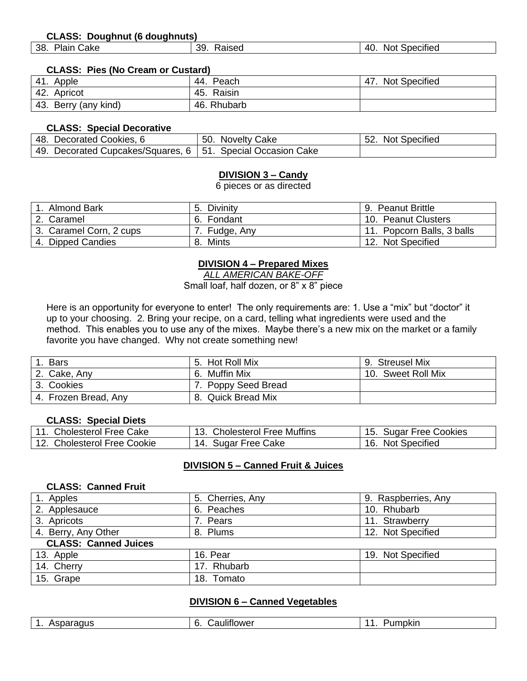#### **CLASS: Doughnut (6 doughnuts)**

| .<br>38.<br>Plain<br>39<br>-40.<br>Not<br>Raised<br>Cake<br>Specified |  |
|-----------------------------------------------------------------------|--|
|-----------------------------------------------------------------------|--|

#### **CLASS: Pies (No Cream or Custard)**

| 41.<br>Apple         | 44.<br>Peach  | <b>Not Specified</b><br>47. |
|----------------------|---------------|-----------------------------|
| 42. Apricot          | Raisin<br>45. |                             |
| 43. Berry (any kind) | 46. Rhubarb   |                             |

#### **CLASS: Special Decorative**

| 48. Decorated Cookies, 6                                      | 50. Novelty Cake | 52. Not Specified |
|---------------------------------------------------------------|------------------|-------------------|
| 49. Decorated Cupcakes/Squares, 6   51. Special Occasion Cake |                  |                   |

#### **DIVISION 3 – Candy**

6 pieces or as directed

| Almond Bark             | Divinity      | 9. Peanut Brittle          |
|-------------------------|---------------|----------------------------|
| 2. Caramel              | 6. Fondant    | 10. Peanut Clusters        |
| 3. Caramel Corn, 2 cups | 7. Fudge, Any | 11. Popcorn Balls, 3 balls |
| 4. Dipped Candies       | Mints<br>8.   | 12. Not Specified          |

#### **DIVISION 4 – Prepared Mixes**

*ALL AMERICAN BAKE-OFF*

Small loaf, half dozen, or 8" x 8" piece

Here is an opportunity for everyone to enter! The only requirements are: 1. Use a "mix" but "doctor" it up to your choosing. 2. Bring your recipe, on a card, telling what ingredients were used and the method. This enables you to use any of the mixes. Maybe there's a new mix on the market or a family favorite you have changed. Why not create something new!

| <b>Bars</b>          | Hot Roll Mix<br>.5. | <b>Streusel Mix</b><br>9. |
|----------------------|---------------------|---------------------------|
| 2. Cake, Any         | 6. Muffin Mix       | 10. Sweet Roll Mix        |
| 3. Cookies           | 7. Poppy Seed Bread |                           |
| 4. Frozen Bread, Any | 8. Quick Bread Mix  |                           |

#### **CLASS: Special Diets**

| 11. Cholesterol Free Cake   | 13. Cholesterol Free Muffins | 15. Sugar Free Cookies |
|-----------------------------|------------------------------|------------------------|
| 12. Cholesterol Free Cookie | 14. Sugar Free Cake          | 16. Not Specified      |

#### **DIVISION 5 – Canned Fruit & Juices**

#### **CLASS: Canned Fruit**

| 1. Apples                   | 5. Cherries, Any | 9. Raspberries, Any |
|-----------------------------|------------------|---------------------|
| 2. Applesauce               | 6. Peaches       | 10. Rhubarb         |
| 3. Apricots                 | 7. Pears         | 11. Strawberry      |
| 4. Berry, Any Other         | 8. Plums         | 12. Not Specified   |
| <b>CLASS: Canned Juices</b> |                  |                     |
| 13. Apple                   | 16. Pear         | 19. Not Specified   |
| 14. Cherry                  | 17. Rhubarb      |                     |
| 15. Grape                   | 18. Tomato       |                     |

#### **DIVISION 6 – Canned Vegetables**

| $\cdots$<br>£<br>Asparaqus<br>auliflower<br>ີ | . .<br>ישש∪ |
|-----------------------------------------------|-------------|
|-----------------------------------------------|-------------|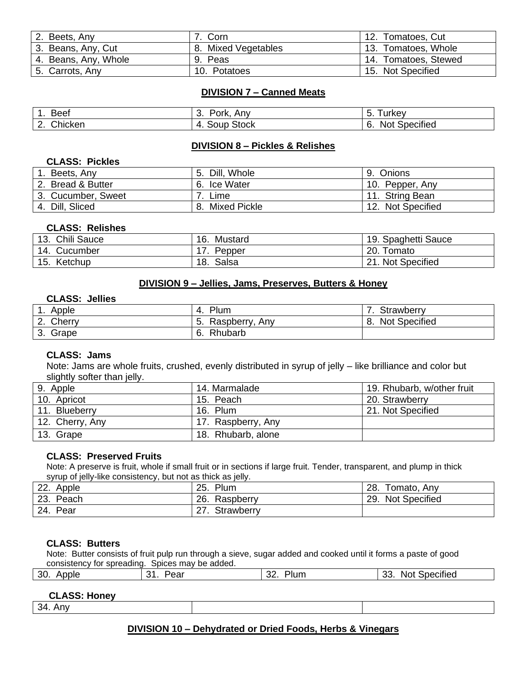| 2. Beets, Any        | Corn                | 12. Tomatoes, Cut    |
|----------------------|---------------------|----------------------|
| 3. Beans, Any, Cut   | 8. Mixed Vegetables | 13. Tomatoes, Whole  |
| 4. Beans, Any, Whole | 9. Peas             | 14. Tomatoes, Stewed |
| 5. Carrots, Any      | 10. Potatoes        | 15. Not Specified    |

#### **DIVISION 7 – Canned Meats**

| <b>Beef</b>                   | Pork,<br>. Anv<br>. ပ. | Turkev<br>. ხ.               |
|-------------------------------|------------------------|------------------------------|
| Chicken<br>$\sim$<br><u>.</u> | 4. Soup Stock          | <b>Not Specified</b><br>- 6. |

#### **DIVISION 8 – Pickles & Relishes**

#### **CLASS: Pickles**

| Beets, Any         | Dill, Whole         | Onions<br>9.      |
|--------------------|---------------------|-------------------|
| 2. Bread & Butter  | 6. Ice Water        | 10. Pepper, Any   |
| 3. Cucumber, Sweet | Lime                | 11. String Bean   |
| 4. Dill, Sliced    | Mixed Pickle<br>-8. | 12. Not Specified |

#### **CLASS: Relishes**

| 13. Chili Sauce | 16.<br>Mustard | 19. Spaghetti Sauce |
|-----------------|----------------|---------------------|
| 14. Cucumber    | Pepper         | 20. Tomato          |
| 15. Ketchup     | 18. Salsa      | 21. Not Specified   |

#### **DIVISION 9 – Jellies, Jams, Preserves, Butters & Honey**

#### **CLASS: Jellies**

| Apple<br>. .                 | Plum<br>-4.           | Strawberry                  |
|------------------------------|-----------------------|-----------------------------|
| Cherry<br>$\sim$<br><u>.</u> | Raspberry, Any<br>່ວ. | <b>Not Specified</b><br>-8. |
| Grape<br>3.                  | Rhubarb<br>-6.        |                             |

#### **CLASS: Jams**

Note: Jams are whole fruits, crushed, evenly distributed in syrup of jelly – like brilliance and color but slightly softer than jelly.

| 9. Apple        | 14. Marmalade      | 19. Rhubarb, w/other fruit |
|-----------------|--------------------|----------------------------|
| 10. Apricot     | 15. Peach          | 20. Strawberry             |
| 11. Blueberry   | 16. Plum           | 21. Not Specified          |
| 12. Cherry, Any | 17. Raspberry, Any |                            |
| 13. Grape       | 18. Rhubarb, alone |                            |

#### **CLASS: Preserved Fruits**

Note: A preserve is fruit, whole if small fruit or in sections if large fruit. Tender, transparent, and plump in thick syrup of jelly-like consistency, but not as thick as jelly.

| ົດດ<br>Apple<br>LL. | Plum<br>25.      | 28.<br>Tomato, Any          |
|---------------------|------------------|-----------------------------|
| 23.<br>Peach        | 26.<br>Raspberry | <b>Not Specified</b><br>29. |
| Pear<br>24.         | Strawberry<br>21 |                             |

#### **CLASS: Butters**

Note: Butter consists of fruit pulp run through a sieve, sugar added and cooked until it forms a paste of good consistency for spreading. Spices may be added.

| 30.<br>Apple | ົາ<br>ear<br>. . | $\sim$<br>. ור<br>'lum<br>. ےں | $\cdots$<br>ົ<br>Specified<br>Not<br>ບບ. |
|--------------|------------------|--------------------------------|------------------------------------------|
|              |                  |                                |                                          |

#### **CLASS: Honey**

34. Any

#### **DIVISION 10 – Dehydrated or Dried Foods, Herbs & Vinegars**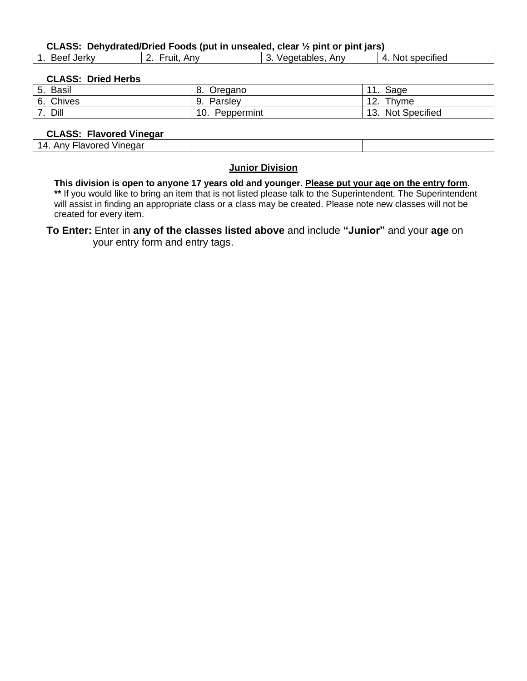#### **CLASS: Dehydrated/Dried Foods (put in unsealed, clear ½ pint or pint jars)**

| . Jerkv<br><b>Beet</b> | ruit<br>Anv<br><u>.</u> | Anv<br>`/eqetables. | .<br>Not specified<br>$\prime$ |
|------------------------|-------------------------|---------------------|--------------------------------|
|                        |                         |                     |                                |

#### **CLASS: Dried Herbs**

 $\lceil$ 

| <b>Basil</b><br>$\overline{a}$<br>J. | $\circ$<br>Oregano<br>о. | Sage<br>.                   |
|--------------------------------------|--------------------------|-----------------------------|
| <b>Chives</b><br>6.                  | 9.<br>Parslev            | Thyme<br>$\sim$<br>12.      |
| Dill                                 | 10.<br>Peppermint        | <b>Not Specified</b><br>13. |

#### **CLASS: Flavored Vinegar**

| ----<br>vinedar<br>orec<br>∼<br>AUV<br>'iav |  |
|---------------------------------------------|--|
|                                             |  |

#### **Junior Division**

**This division is open to anyone 17 years old and younger. Please put your age on the entry form. \*\*** If you would like to bring an item that is not listed please talk to the Superintendent. The Superintendent

will assist in finding an appropriate class or a class may be created. Please note new classes will not be created for every item.

**To Enter:** Enter in **any of the classes listed above** and include **"Junior"** and your **age** on your entry form and entry tags.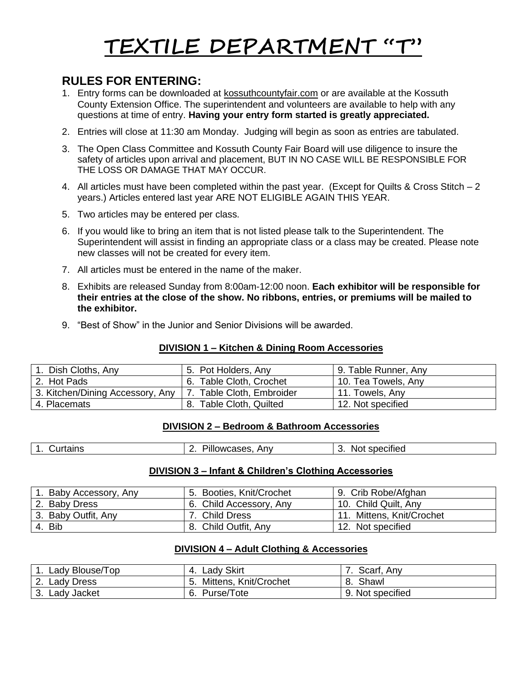# **TEXTILE DEPARTMENT "T"**

## **RULES FOR ENTERING:**

- 1. Entry forms can be downloaded at kossuthcountyfair.com or are available at the Kossuth County Extension Office. The superintendent and volunteers are available to help with any questions at time of entry. **Having your entry form started is greatly appreciated.**
- 2. Entries will close at 11:30 am Monday. Judging will begin as soon as entries are tabulated.
- 3. The Open Class Committee and Kossuth County Fair Board will use diligence to insure the safety of articles upon arrival and placement, BUT IN NO CASE WILL BE RESPONSIBLE FOR THE LOSS OR DAMAGE THAT MAY OCCUR.
- 4. All articles must have been completed within the past year. (Except for Quilts & Cross Stitch 2 years.) Articles entered last year ARE NOT ELIGIBLE AGAIN THIS YEAR.
- 5. Two articles may be entered per class.
- 6. If you would like to bring an item that is not listed please talk to the Superintendent. The Superintendent will assist in finding an appropriate class or a class may be created. Please note new classes will not be created for every item.
- 7. All articles must be entered in the name of the maker.
- 8. Exhibits are released Sunday from 8:00am-12:00 noon. **Each exhibitor will be responsible for their entries at the close of the show. No ribbons, entries, or premiums will be mailed to the exhibitor.**
- 9. "Best of Show" in the Junior and Senior Divisions will be awarded.

#### **DIVISION 1 – Kitchen & Dining Room Accessories**

| Dish Cloths, Any                 | 5. Pot Holders, Any     | 9. Table Runner, Any |
|----------------------------------|-------------------------|----------------------|
| 2. Hot Pads                      | 6. Table Cloth, Crochet | 10. Tea Towels, Any  |
| 3. Kitchen/Dining Accessory, Any | Table Cloth, Embroider  | 11. Towels, Any      |
| 4. Placemats                     | 8. Table Cloth, Quilted | 12. Not specified    |

#### **DIVISION 2 – Bedroom & Bathroom Accessories**

| Anv<br><b>urtains</b><br>owcases.<br>ecified<br>NO.<br>sne<br>'Illv<br>ີ |
|--------------------------------------------------------------------------|
|--------------------------------------------------------------------------|

#### **DIVISION 3 – Infant & Children's Clothing Accessories**

| . Baby Accessory, Any | 5. Booties, Knit/Crochet | 9. Crib Robe/Afghan       |
|-----------------------|--------------------------|---------------------------|
| 2. Baby Dress         | 6. Child Accessory, Any  | 10. Child Quilt, Any      |
| 3. Baby Outfit, Any   | 7. Child Dress           | 11. Mittens, Knit/Crochet |
| 4. Bib                | 8. Child Outfit, Any     | 12. Not specified         |

#### **DIVISION 4 – Adult Clothing & Accessories**

| Lady Blouse/Top         | Lady Skirt<br>4.      | Scarf, Any       |
|-------------------------|-----------------------|------------------|
| Lady Dress<br><u>z.</u> | Mittens, Knit/Crochet | Shawl<br>о.      |
| Lady Jacket<br>ູບ.      | Purse/Tote            | 9. Not specified |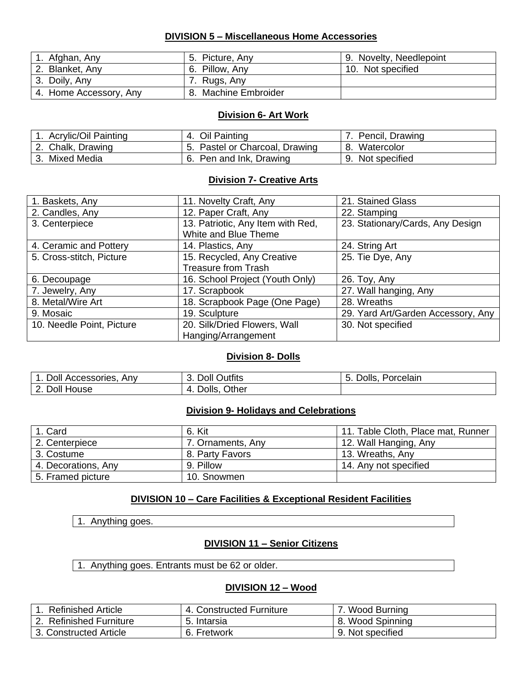#### **DIVISION 5 – Miscellaneous Home Accessories**

| 1. Afghan, Any         | 5. Picture, Any      | 9. Novelty, Needlepoint |
|------------------------|----------------------|-------------------------|
| 2. Blanket, Any        | 6. Pillow, Any       | 10. Not specified       |
| 3. Doily, Any          | 7. Rugs, Any         |                         |
| 4. Home Accessory, Any | 8. Machine Embroider |                         |

#### **Division 6- Art Work**

| <b>Acrylic/Oil Painting</b> | 4. Oil Painting                | Pencil, Drawing  |
|-----------------------------|--------------------------------|------------------|
| 2. Chalk, Drawing           | 5. Pastel or Charcoal, Drawing | 8. Watercolor    |
| 3. Mixed Media              | 6. Pen and Ink, Drawing        | 9. Not specified |

#### **Division 7- Creative Arts**

| 1. Baskets, Any           | 11. Novelty Craft, Any            | 21. Stained Glass                  |
|---------------------------|-----------------------------------|------------------------------------|
| 2. Candles, Any           | 12. Paper Craft, Any              | 22. Stamping                       |
| 3. Centerpiece            | 13. Patriotic, Any Item with Red, | 23. Stationary/Cards, Any Design   |
|                           | White and Blue Theme              |                                    |
| 4. Ceramic and Pottery    | 14. Plastics, Any                 | 24. String Art                     |
| 5. Cross-stitch, Picture  | 15. Recycled, Any Creative        | 25. Tie Dye, Any                   |
|                           | <b>Treasure from Trash</b>        |                                    |
| 6. Decoupage              | 16. School Project (Youth Only)   | 26. Toy, Any                       |
| 7. Jewelry, Any           | 17. Scrapbook                     | 27. Wall hanging, Any              |
| 8. Metal/Wire Art         | 18. Scrapbook Page (One Page)     | 28. Wreaths                        |
| 9. Mosaic                 | 19. Sculpture                     | 29. Yard Art/Garden Accessory, Any |
| 10. Needle Point, Picture | 20. Silk/Dried Flowers, Wall      | 30. Not specified                  |
|                           | Hanging/Arrangement               |                                    |

#### **Division 8- Dolls**

| 1. Doll Accessories,<br>Anv | 3. Doll Outfits    | Dolls,<br>Porcelain<br>$-5.$ |
|-----------------------------|--------------------|------------------------------|
| 2. Doll House               | Other<br>4. Dolls, |                              |

#### **Division 9- Holidays and Celebrations**

| 1. Card             | 6. Kit            | 11. Table Cloth, Place mat, Runner |
|---------------------|-------------------|------------------------------------|
| 2. Centerpiece      | 7. Ornaments, Any | 12. Wall Hanging, Any              |
| 3. Costume          | 8. Party Favors   | 13. Wreaths, Any                   |
| 4. Decorations, Any | 9. Pillow         | 14. Any not specified              |
| 5. Framed picture   | 10. Snowmen       |                                    |

#### **DIVISION 10 – Care Facilities & Exceptional Resident Facilities**

1. Anything goes.

#### **DIVISION 11 – Senior Citizens**

1. Anything goes. Entrants must be 62 or older.

#### **DIVISION 12 – Wood**

| <b>Refinished Article</b> | 4. Constructed Furniture | Wood Burning     |
|---------------------------|--------------------------|------------------|
| 2. Refinished Furniture   | 5. Intarsia              | 8. Wood Spinning |
| 3. Constructed Article    | 6. Fretwork              | 9. Not specified |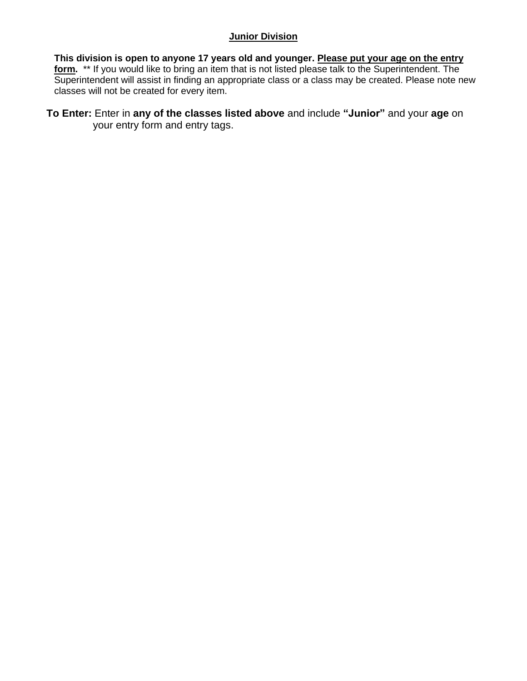#### **Junior Division**

**This division is open to anyone 17 years old and younger. Please put your age on the entry form.** \*\* If you would like to bring an item that is not listed please talk to the Superintendent. The Superintendent will assist in finding an appropriate class or a class may be created. Please note new classes will not be created for every item.

**To Enter:** Enter in **any of the classes listed above** and include **"Junior"** and your **age** on your entry form and entry tags.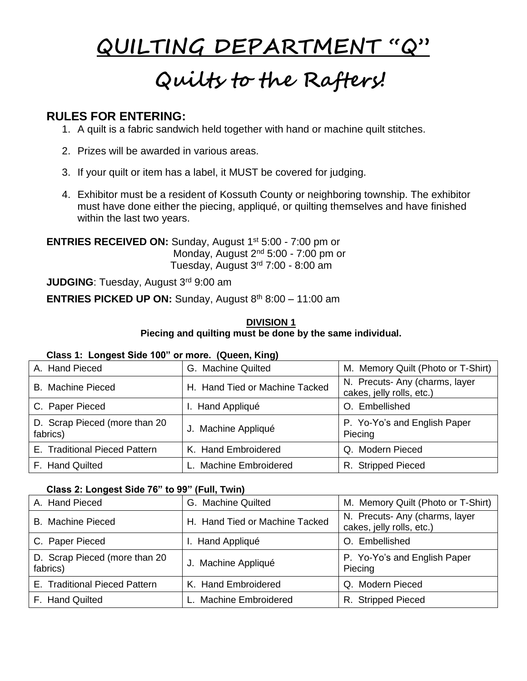# **QUILTING DEPARTMENT "Q" Quilts to the Rafters!**

## **RULES FOR ENTERING:**

- 1. A quilt is a fabric sandwich held together with hand or machine quilt stitches.
- 2. Prizes will be awarded in various areas.
- 3. If your quilt or item has a label, it MUST be covered for judging.
- 4. Exhibitor must be a resident of Kossuth County or neighboring township. The exhibitor must have done either the piecing, appliqué, or quilting themselves and have finished within the last two years.

**ENTRIES RECEIVED ON:** Sunday, August 1<sup>st</sup> 5:00 - 7:00 pm or Monday, August 2<sup>nd</sup> 5:00 - 7:00 pm or Tuesday, August 3rd 7:00 - 8:00 am

**JUDGING**: Tuesday, August 3rd 9:00 am

**ENTRIES PICKED UP ON:** Sunday, August  $8<sup>th</sup> 8:00 - 11:00$  am

#### **DIVISION 1 Piecing and quilting must be done by the same individual.**

#### **Class 1: Longest Side 100" or more. (Queen, King)**

| A. Hand Pieced                            | G. Machine Quilted             | M. Memory Quilt (Photo or T-Shirt)                         |
|-------------------------------------------|--------------------------------|------------------------------------------------------------|
| <b>B.</b> Machine Pieced                  | H. Hand Tied or Machine Tacked | N. Precuts-Any (charms, layer<br>cakes, jelly rolls, etc.) |
| C. Paper Pieced                           | I. Hand Appliqué               | O. Embellished                                             |
| D. Scrap Pieced (more than 20<br>fabrics) | J. Machine Appliqué            | P. Yo-Yo's and English Paper<br>Piecing                    |
| E. Traditional Pieced Pattern             | K. Hand Embroidered            | Q. Modern Pieced                                           |
| F. Hand Quilted                           | L. Machine Embroidered         | R. Stripped Pieced                                         |

#### **Class 2: Longest Side 76" to 99" (Full, Twin)**

| A. Hand Pieced                            | G. Machine Quilted             | M. Memory Quilt (Photo or T-Shirt)                          |
|-------------------------------------------|--------------------------------|-------------------------------------------------------------|
| <b>B.</b> Machine Pieced                  | H. Hand Tied or Machine Tacked | N. Precuts- Any (charms, layer<br>cakes, jelly rolls, etc.) |
| C. Paper Pieced                           | I. Hand Appliqué               | O. Embellished                                              |
| D. Scrap Pieced (more than 20<br>fabrics) | J. Machine Appliqué            | P. Yo-Yo's and English Paper<br>Piecing                     |
| E. Traditional Pieced Pattern             | K. Hand Embroidered            | Q. Modern Pieced                                            |
| F. Hand Quilted                           | L. Machine Embroidered         | R. Stripped Pieced                                          |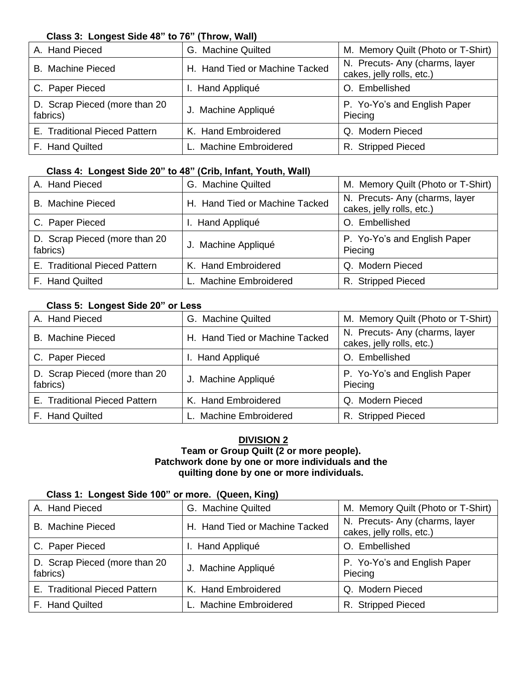#### **Class 3: Longest Side 48" to 76" (Throw, Wall)**

| A. Hand Pieced                            | G. Machine Quilted             | M. Memory Quilt (Photo or T-Shirt)                         |
|-------------------------------------------|--------------------------------|------------------------------------------------------------|
| <b>B.</b> Machine Pieced                  | H. Hand Tied or Machine Tacked | N. Precuts-Any (charms, layer<br>cakes, jelly rolls, etc.) |
| C. Paper Pieced                           | I. Hand Appliqué               | Embellished                                                |
| D. Scrap Pieced (more than 20<br>fabrics) | J. Machine Appliqué            | P. Yo-Yo's and English Paper<br>Piecing                    |
| E. Traditional Pieced Pattern             | K. Hand Embroidered            | Q. Modern Pieced                                           |
| F. Hand Quilted                           | L. Machine Embroidered         | R. Stripped Pieced                                         |

#### **Class 4: Longest Side 20" to 48" (Crib, Infant, Youth, Wall)**

| A. Hand Pieced                            | G. Machine Quilted             | M. Memory Quilt (Photo or T-Shirt)                         |
|-------------------------------------------|--------------------------------|------------------------------------------------------------|
| <b>B.</b> Machine Pieced                  | H. Hand Tied or Machine Tacked | N. Precuts-Any (charms, layer<br>cakes, jelly rolls, etc.) |
| C. Paper Pieced                           | I. Hand Appliqué               | O. Embellished                                             |
| D. Scrap Pieced (more than 20<br>fabrics) | J. Machine Appliqué            | P. Yo-Yo's and English Paper<br>Piecing                    |
| E. Traditional Pieced Pattern             | K. Hand Embroidered            | Q. Modern Pieced                                           |
| F. Hand Quilted                           | L. Machine Embroidered         | R. Stripped Pieced                                         |

#### **Class 5: Longest Side 20" or Less**

| A. Hand Pieced                            | G. Machine Quilted             | M. Memory Quilt (Photo or T-Shirt)                          |
|-------------------------------------------|--------------------------------|-------------------------------------------------------------|
| <b>B.</b> Machine Pieced                  | H. Hand Tied or Machine Tacked | N. Precuts- Any (charms, layer<br>cakes, jelly rolls, etc.) |
| C. Paper Pieced                           | I. Hand Appliqué               | O. Embellished                                              |
| D. Scrap Pieced (more than 20<br>fabrics) | J. Machine Appliqué            | P. Yo-Yo's and English Paper<br>Piecing                     |
| E. Traditional Pieced Pattern             | K. Hand Embroidered            | Q. Modern Pieced                                            |
| F. Hand Quilted                           | L. Machine Embroidered         | R. Stripped Pieced                                          |

#### **DIVISION 2 Team or Group Quilt (2 or more people). Patchwork done by one or more individuals and the quilting done by one or more individuals.**

#### **Class 1: Longest Side 100" or more. (Queen, King)**

| A. Hand Pieced                            | G. Machine Quilted             | M. Memory Quilt (Photo or T-Shirt)                         |
|-------------------------------------------|--------------------------------|------------------------------------------------------------|
| <b>B.</b> Machine Pieced                  | H. Hand Tied or Machine Tacked | N. Precuts-Any (charms, layer<br>cakes, jelly rolls, etc.) |
| C. Paper Pieced                           | I. Hand Appliqué               | O. Embellished                                             |
| D. Scrap Pieced (more than 20<br>fabrics) | J. Machine Appliqué            | P. Yo-Yo's and English Paper<br>Piecing                    |
| E. Traditional Pieced Pattern             | K. Hand Embroidered            | Q. Modern Pieced                                           |
| F. Hand Quilted                           | L. Machine Embroidered         | R. Stripped Pieced                                         |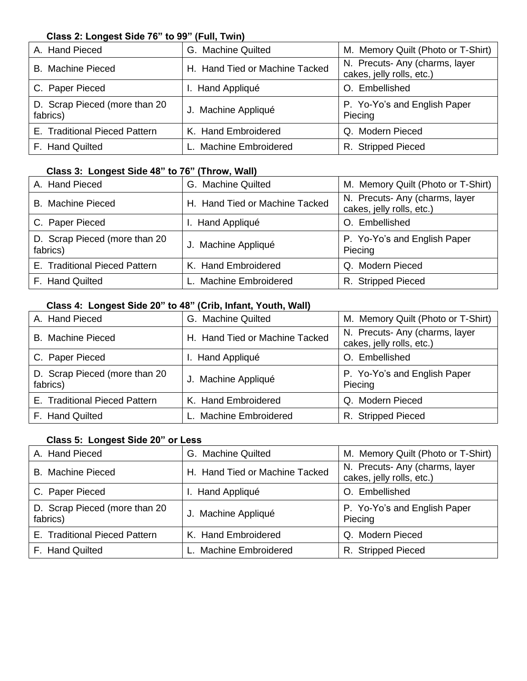#### **Class 2: Longest Side 76" to 99" (Full, Twin)**

| A. Hand Pieced                            | G. Machine Quilted             | M. Memory Quilt (Photo or T-Shirt)                          |
|-------------------------------------------|--------------------------------|-------------------------------------------------------------|
| <b>B.</b> Machine Pieced                  | H. Hand Tied or Machine Tacked | N. Precuts- Any (charms, layer<br>cakes, jelly rolls, etc.) |
| C. Paper Pieced                           | I. Hand Appliqué               | Embellished                                                 |
| D. Scrap Pieced (more than 20<br>fabrics) | J. Machine Appliqué            | P. Yo-Yo's and English Paper<br>Piecing                     |
| E. Traditional Pieced Pattern             | K. Hand Embroidered            | Q. Modern Pieced                                            |
| F. Hand Quilted                           | L. Machine Embroidered         | R. Stripped Pieced                                          |

#### **Class 3: Longest Side 48" to 76" (Throw, Wall)**

| A. Hand Pieced                            | G. Machine Quilted             | M. Memory Quilt (Photo or T-Shirt)                         |
|-------------------------------------------|--------------------------------|------------------------------------------------------------|
| <b>B.</b> Machine Pieced                  | H. Hand Tied or Machine Tacked | N. Precuts-Any (charms, layer<br>cakes, jelly rolls, etc.) |
| C. Paper Pieced                           | I. Hand Appliqué               | O. Embellished                                             |
| D. Scrap Pieced (more than 20<br>fabrics) | J. Machine Appliqué            | P. Yo-Yo's and English Paper<br>Piecing                    |
| E. Traditional Pieced Pattern             | K. Hand Embroidered            | Modern Pieced<br>O.                                        |
| F. Hand Quilted                           | L. Machine Embroidered         | R. Stripped Pieced                                         |

#### **Class 4: Longest Side 20" to 48" (Crib, Infant, Youth, Wall)**

| A. Hand Pieced                            | G. Machine Quilted             | M. Memory Quilt (Photo or T-Shirt)                          |
|-------------------------------------------|--------------------------------|-------------------------------------------------------------|
| <b>B.</b> Machine Pieced                  | H. Hand Tied or Machine Tacked | N. Precuts- Any (charms, layer<br>cakes, jelly rolls, etc.) |
| C. Paper Pieced                           | I. Hand Appliqué               | O. Embellished                                              |
| D. Scrap Pieced (more than 20<br>fabrics) | J. Machine Appliqué            | P. Yo-Yo's and English Paper<br>Piecing                     |
| E. Traditional Pieced Pattern             | K. Hand Embroidered            | Q. Modern Pieced                                            |
| F. Hand Quilted                           | L. Machine Embroidered         | R. Stripped Pieced                                          |

#### **Class 5: Longest Side 20" or Less**

| A. Hand Pieced                            | G. Machine Quilted             | M. Memory Quilt (Photo or T-Shirt)                         |
|-------------------------------------------|--------------------------------|------------------------------------------------------------|
| <b>B.</b> Machine Pieced                  | H. Hand Tied or Machine Tacked | N. Precuts-Any (charms, layer<br>cakes, jelly rolls, etc.) |
| C. Paper Pieced                           | I. Hand Appliqué               | Embellished                                                |
| D. Scrap Pieced (more than 20<br>fabrics) | J. Machine Appliqué            | P. Yo-Yo's and English Paper<br>Piecing                    |
| E. Traditional Pieced Pattern             | K. Hand Embroidered            | Q. Modern Pieced                                           |
| F. Hand Quilted                           | L. Machine Embroidered         | R. Stripped Pieced                                         |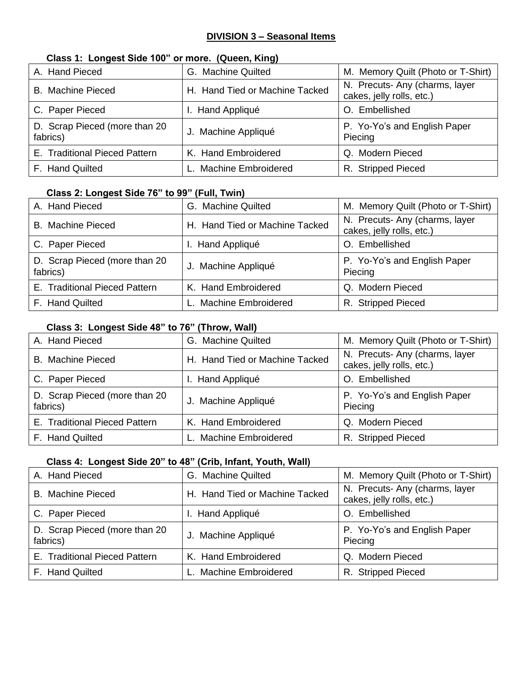#### **DIVISION 3 – Seasonal Items**

#### **Class 1: Longest Side 100" or more. (Queen, King)**

| A. Hand Pieced                            | G. Machine Quilted             | M. Memory Quilt (Photo or T-Shirt)                          |
|-------------------------------------------|--------------------------------|-------------------------------------------------------------|
| <b>B.</b> Machine Pieced                  | H. Hand Tied or Machine Tacked | N. Precuts- Any (charms, layer<br>cakes, jelly rolls, etc.) |
| C. Paper Pieced                           | I. Hand Appliqué               | O. Embellished                                              |
| D. Scrap Pieced (more than 20<br>fabrics) | J. Machine Appliqué            | P. Yo-Yo's and English Paper<br>Piecing                     |
| E. Traditional Pieced Pattern             | K. Hand Embroidered            | Q. Modern Pieced                                            |
| F. Hand Quilted                           | L. Machine Embroidered         | R. Stripped Pieced                                          |

#### **Class 2: Longest Side 76" to 99" (Full, Twin)**

| A. Hand Pieced                            | G. Machine Quilted             | M. Memory Quilt (Photo or T-Shirt)                          |
|-------------------------------------------|--------------------------------|-------------------------------------------------------------|
| <b>B.</b> Machine Pieced                  | H. Hand Tied or Machine Tacked | N. Precuts- Any (charms, layer<br>cakes, jelly rolls, etc.) |
| C. Paper Pieced                           | I. Hand Appliqué               | O. Embellished                                              |
| D. Scrap Pieced (more than 20<br>fabrics) | J. Machine Appliqué            | P. Yo-Yo's and English Paper<br>Piecing                     |
| E. Traditional Pieced Pattern             | K. Hand Embroidered            | Q. Modern Pieced                                            |
| F. Hand Quilted                           | L. Machine Embroidered         | R. Stripped Pieced                                          |

#### **Class 3: Longest Side 48" to 76" (Throw, Wall)**

| A. Hand Pieced                            | G. Machine Quilted             | M. Memory Quilt (Photo or T-Shirt)                          |
|-------------------------------------------|--------------------------------|-------------------------------------------------------------|
| <b>B.</b> Machine Pieced                  | H. Hand Tied or Machine Tacked | N. Precuts- Any (charms, layer<br>cakes, jelly rolls, etc.) |
| C. Paper Pieced                           | I. Hand Appliqué               | Embellished                                                 |
| D. Scrap Pieced (more than 20<br>fabrics) | J. Machine Appliqué            | P. Yo-Yo's and English Paper<br>Piecing                     |
| E. Traditional Pieced Pattern             | K. Hand Embroidered            | Q. Modern Pieced                                            |
| F. Hand Quilted                           | L. Machine Embroidered         | R. Stripped Pieced                                          |

#### **Class 4: Longest Side 20" to 48" (Crib, Infant, Youth, Wall)**

| A. Hand Pieced                            | G. Machine Quilted             | M. Memory Quilt (Photo or T-Shirt)                          |
|-------------------------------------------|--------------------------------|-------------------------------------------------------------|
| <b>B.</b> Machine Pieced                  | H. Hand Tied or Machine Tacked | N. Precuts- Any (charms, layer<br>cakes, jelly rolls, etc.) |
| C. Paper Pieced                           | I. Hand Appliqué               | Embellished                                                 |
| D. Scrap Pieced (more than 20<br>fabrics) | J. Machine Appliqué            | P. Yo-Yo's and English Paper<br>Piecing                     |
| E. Traditional Pieced Pattern             | K. Hand Embroidered            | Q. Modern Pieced                                            |
| F. Hand Quilted                           | L. Machine Embroidered         | R. Stripped Pieced                                          |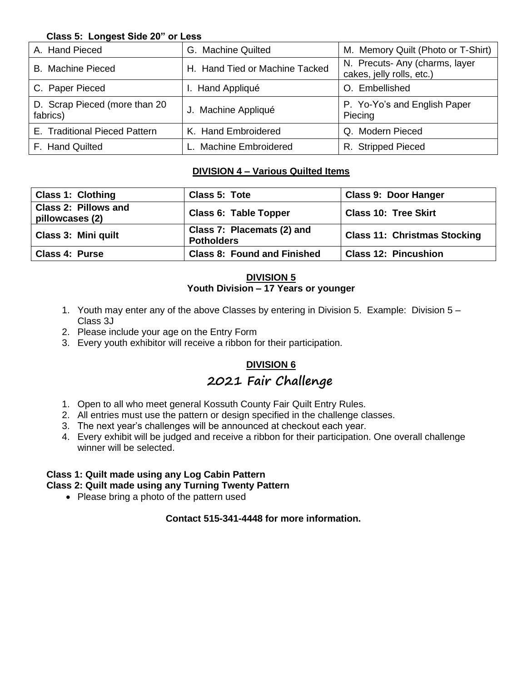#### **Class 5: Longest Side 20" or Less**

| A. Hand Pieced                            | G. Machine Quilted             | M. Memory Quilt (Photo or T-Shirt)                          |  |
|-------------------------------------------|--------------------------------|-------------------------------------------------------------|--|
| <b>B.</b> Machine Pieced                  | H. Hand Tied or Machine Tacked | N. Precuts- Any (charms, layer<br>cakes, jelly rolls, etc.) |  |
| C. Paper Pieced                           | I. Hand Appliqué               | O. Embellished                                              |  |
| D. Scrap Pieced (more than 20<br>fabrics) | J. Machine Appliqué            | P. Yo-Yo's and English Paper<br>Piecing                     |  |
| E. Traditional Pieced Pattern             | K. Hand Embroidered            | Q. Modern Pieced                                            |  |
| F. Hand Quilted                           | L. Machine Embroidered         | R. Stripped Pieced                                          |  |

#### **DIVISION 4 – Various Quilted Items**

| <b>Class 1: Clothing</b>                       | Class 5: Tote                                   | <b>Class 9: Door Hanger</b>         |
|------------------------------------------------|-------------------------------------------------|-------------------------------------|
| <b>Class 2: Pillows and</b><br>pillowcases (2) | <b>Class 6: Table Topper</b>                    | <b>Class 10: Tree Skirt</b>         |
| <b>Class 3: Mini quilt</b>                     | Class 7: Placemats (2) and<br><b>Potholders</b> | <b>Class 11: Christmas Stocking</b> |
| <b>Class 4: Purse</b>                          | <b>Class 8: Found and Finished</b>              | <b>Class 12: Pincushion</b>         |

#### **DIVISION 5 Youth Division – 17 Years or younger**

- 1. Youth may enter any of the above Classes by entering in Division 5. Example: Division 5 Class 3J
- 2. Please include your age on the Entry Form
- 3. Every youth exhibitor will receive a ribbon for their participation.

#### **DIVISION 6**

## **2021 Fair Challenge**

- 1. Open to all who meet general Kossuth County Fair Quilt Entry Rules.
- 2. All entries must use the pattern or design specified in the challenge classes.
- 3. The next year's challenges will be announced at checkout each year.
- 4. Every exhibit will be judged and receive a ribbon for their participation. One overall challenge winner will be selected.

#### **Class 1: Quilt made using any Log Cabin Pattern**

#### **Class 2: Quilt made using any Turning Twenty Pattern**

• Please bring a photo of the pattern used

#### **Contact 515-341-4448 for more information.**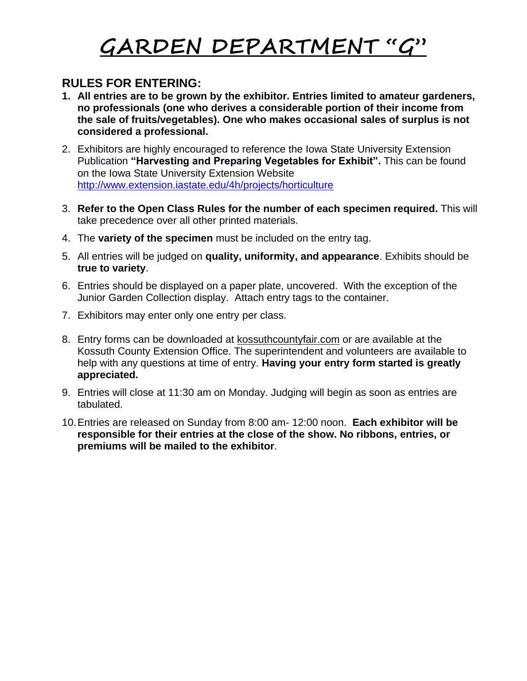# **GARDEN DEPARTMENT "G"**

### **RULES FOR ENTERING:**

- **1. All entries are to be grown by the exhibitor. Entries limited to amateur gardeners, no professionals (one who derives a considerable portion of their income from the sale of fruits/vegetables). One who makes occasional sales of surplus is not considered a professional.**
- 2. Exhibitors are highly encouraged to reference the Iowa State University Extension Publication **"Harvesting and Preparing Vegetables for Exhibit".** This can be found on the Iowa State University Extension Website <http://www.extension.iastate.edu/4h/projects/horticulture>
- 3. **Refer to the Open Class Rules for the number of each specimen required.** This will take precedence over all other printed materials.
- 4. The **variety of the specimen** must be included on the entry tag.
- 5. All entries will be judged on **quality, uniformity, and appearance**. Exhibits should be **true to variety**.
- 6. Entries should be displayed on a paper plate, uncovered. With the exception of the Junior Garden Collection display. Attach entry tags to the container.
- 7. Exhibitors may enter only one entry per class.
- 8. Entry forms can be downloaded at kossuthcountyfair.com or are available at the Kossuth County Extension Office. The superintendent and volunteers are available to help with any questions at time of entry. **Having your entry form started is greatly appreciated.**
- 9. Entries will close at 11:30 am on Monday. Judging will begin as soon as entries are tabulated.
- 10.Entries are released on Sunday from 8:00 am- 12:00 noon. **Each exhibitor will be responsible for their entries at the close of the show. No ribbons, entries, or premiums will be mailed to the exhibitor**.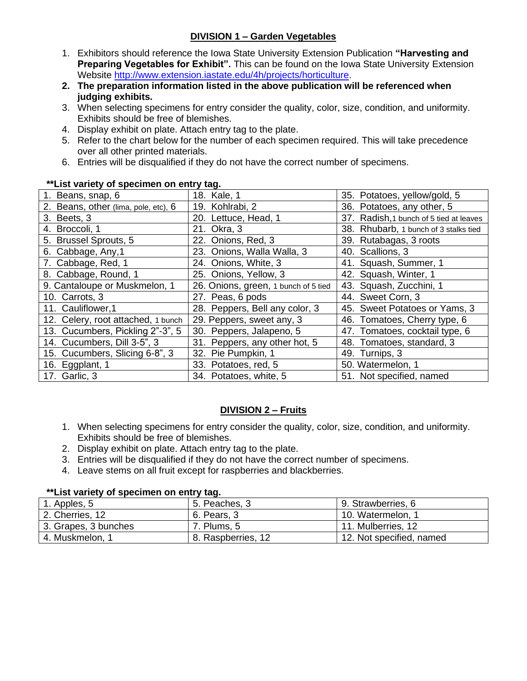#### **DIVISION 1 – Garden Vegetables**

- 1. Exhibitors should reference the Iowa State University Extension Publication **"Harvesting and Preparing Vegetables for Exhibit".** This can be found on the Iowa State University Extension Website [http://www.extension.iastate.edu/4h/projects/horticulture.](http://www.extension.iastate.edu/4h/projects/horticulture)
- **2. The preparation information listed in the above publication will be referenced when judging exhibits.**
- 3. When selecting specimens for entry consider the quality, color, size, condition, and uniformity. Exhibits should be free of blemishes.
- 4. Display exhibit on plate. Attach entry tag to the plate.
- 5. Refer to the chart below for the number of each specimen required. This will take precedence over all other printed materials.
- 6. Entries will be disqualified if they do not have the correct number of specimens.

| 1. Beans, snap, 6                    | 18. Kale, 1                          | 35. Potatoes, yellow/gold, 5            |
|--------------------------------------|--------------------------------------|-----------------------------------------|
| 2. Beans, other (lima, pole, etc), 6 | 19. Kohlrabi, 2                      | 36. Potatoes, any other, 5              |
| 3. Beets, 3                          | 20. Lettuce, Head, 1                 | 37. Radish, 1 bunch of 5 tied at leaves |
| 4. Broccoli, 1                       | 21. Okra, 3                          | 38. Rhubarb, 1 bunch of 3 stalks tied   |
| 5. Brussel Sprouts, 5                | 22. Onions, Red, 3                   | 39. Rutabagas, 3 roots                  |
| 6. Cabbage, Any, 1                   | 23. Onions, Walla Walla, 3           | 40. Scallions, 3                        |
| 7. Cabbage, Red, 1                   | 24. Onions, White, 3                 | 41. Squash, Summer, 1                   |
| 8. Cabbage, Round, 1                 | 25. Onions, Yellow, 3                | 42. Squash, Winter, 1                   |
| 9. Cantaloupe or Muskmelon, 1        | 26. Onions, green, 1 bunch of 5 tied | 43. Squash, Zucchini, 1                 |
| 10. Carrots, 3                       | 27. Peas, 6 pods                     | 44. Sweet Corn, 3                       |
| 11. Cauliflower, 1                   | 28. Peppers, Bell any color, 3       | 45. Sweet Potatoes or Yams, 3           |
| 12. Celery, root attached, 1 bunch   | 29. Peppers, sweet any, 3            | 46. Tomatoes, Cherry type, 6            |
| 13. Cucumbers, Pickling 2"-3", 5     | 30. Peppers, Jalapeno, 5             | 47. Tomatoes, cocktail type, 6          |
| 14. Cucumbers, Dill 3-5", 3          | 31. Peppers, any other hot, 5        | 48. Tomatoes, standard, 3               |
| 15. Cucumbers, Slicing 6-8", 3       | 32. Pie Pumpkin, 1                   | 49. Turnips, 3                          |
| 16. Eggplant, 1                      | 33. Potatoes, red, 5                 | 50. Watermelon, 1                       |
| 17. Garlic, 3                        | 34. Potatoes, white, 5               | 51. Not specified, named                |

#### **\*\*List variety of specimen on entry tag.**

#### **DIVISION 2 – Fruits**

- 1. When selecting specimens for entry consider the quality, color, size, condition, and uniformity. Exhibits should be free of blemishes.
- 2. Display exhibit on plate. Attach entry tag to the plate.
- 3. Entries will be disqualified if they do not have the correct number of specimens.
- 4. Leave stems on all fruit except for raspberries and blackberries.

#### **\*\*List variety of specimen on entry tag.**

| 1. Apples, 5         | 5. Peaches, 3      | 9. Strawberries, 6       |
|----------------------|--------------------|--------------------------|
| 2. Cherries, 12      | 6. Pears, 3        | 10. Watermelon, 1        |
| 3. Grapes, 3 bunches | 7. Plums, 5        | 11. Mulberries, 12       |
| 4. Muskmelon, 1      | 8. Raspberries, 12 | 12. Not specified, named |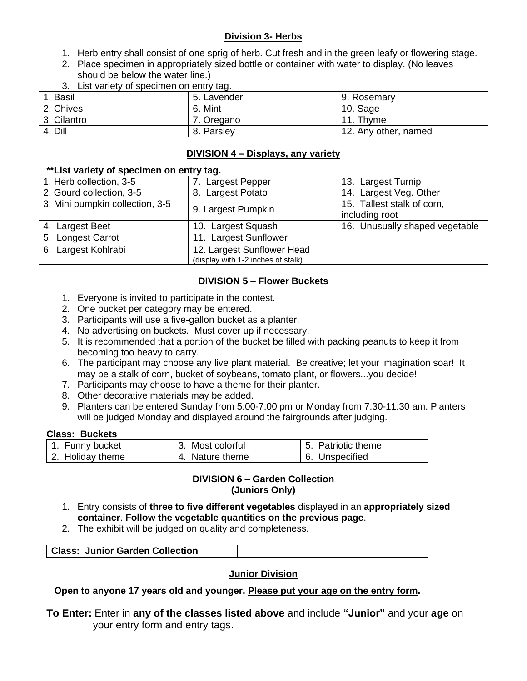#### **Division 3- Herbs**

- 1. Herb entry shall consist of one sprig of herb. Cut fresh and in the green leafy or flowering stage.
- 2. Place specimen in appropriately sized bottle or container with water to display. (No leaves should be below the water line.)
- 3. List variety of specimen on entry tag.

| <b>Basil</b> | 5. Lavender | 9. Rosemary          |
|--------------|-------------|----------------------|
| 2. Chives    | 6. Mint     | 10. Sage             |
| 3. Cilantro  | . Oregano   | 11. Thyme            |
| 4. Dill      | 8. Parsley  | 12. Any other, named |

#### **DIVISION 4 – Displays, any variety**

#### **\*\*List variety of specimen on entry tag.**

| 1. Herb collection, 3-5         | 7. Largest Pepper                  | 13. Largest Turnip             |
|---------------------------------|------------------------------------|--------------------------------|
| 2. Gourd collection, 3-5        | 8. Largest Potato                  | 14. Largest Veg. Other         |
| 3. Mini pumpkin collection, 3-5 | 9. Largest Pumpkin                 | 15. Tallest stalk of corn,     |
|                                 |                                    | including root                 |
| 4. Largest Beet                 | 10. Largest Squash                 | 16. Unusually shaped vegetable |
| 5. Longest Carrot               | 11. Largest Sunflower              |                                |
| 6. Largest Kohlrabi             | 12. Largest Sunflower Head         |                                |
|                                 | (display with 1-2 inches of stalk) |                                |

#### **DIVISION 5 – Flower Buckets**

- 1. Everyone is invited to participate in the contest.
- 2. One bucket per category may be entered.
- 3. Participants will use a five-gallon bucket as a planter.
- 4. No advertising on buckets. Must cover up if necessary.
- 5. It is recommended that a portion of the bucket be filled with packing peanuts to keep it from becoming too heavy to carry.
- 6. The participant may choose any live plant material. Be creative; let your imagination soar! It may be a stalk of corn, bucket of soybeans, tomato plant, or flowers...you decide!
- 7. Participants may choose to have a theme for their planter.
- 8. Other decorative materials may be added.
- 9. Planters can be entered Sunday from 5:00-7:00 pm or Monday from 7:30-11:30 am. Planters will be judged Monday and displayed around the fairgrounds after judging.

#### **Class: Buckets**

| 1. Funny bucket  | 3. Most colorful | 5. Patriotic theme |
|------------------|------------------|--------------------|
| 2. Holiday theme | 4. Nature theme  | 6. Unspecified     |

#### **DIVISION 6 – Garden Collection (Juniors Only)**

- 1. Entry consists of **three to five different vegetables** displayed in an **appropriately sized container**. **Follow the vegetable quantities on the previous page**.
- 2. The exhibit will be judged on quality and completeness.

| <b>Class: Junior Garden Collection</b> |  |
|----------------------------------------|--|

#### **Junior Division**

#### **Open to anyone 17 years old and younger. Please put your age on the entry form.**

**To Enter:** Enter in **any of the classes listed above** and include **"Junior"** and your **age** on your entry form and entry tags.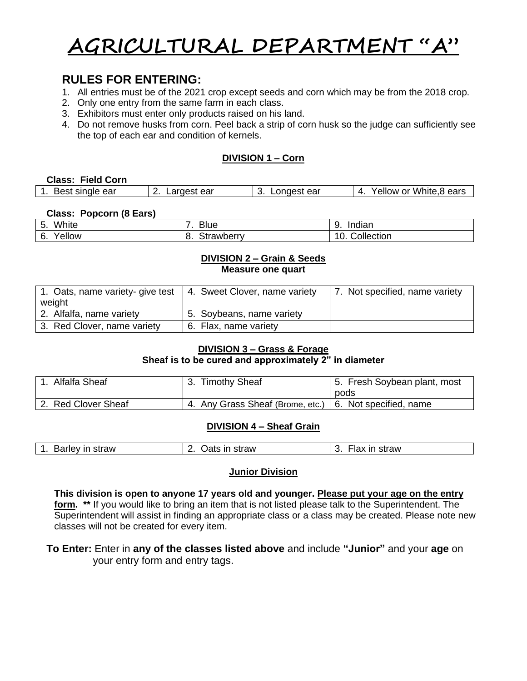# **AGRICULTURAL DEPARTMENT "A"**

## **RULES FOR ENTERING:**

- 1. All entries must be of the 2021 crop except seeds and corn which may be from the 2018 crop.
- 2. Only one entry from the same farm in each class.
- 3. Exhibitors must enter only products raised on his land.
- 4. Do not remove husks from corn. Peel back a strip of corn husk so the judge can sufficiently see the top of each ear and condition of kernels.

#### **DIVISION 1 – Corn**

#### **Class: Field Corn**

| 1<br>Best single ear | Largest ear<br><u>.</u> . | -ongest ear | White,8<br>.8 ears<br>7ellow or<br>$\mathbf{u}$ |
|----------------------|---------------------------|-------------|-------------------------------------------------|
|                      |                           |             |                                                 |

#### **Class: Popcorn (8 Ears)**

| White<br>г<br>. ب | <b>Blue</b>     | C<br>Indian<br>ູ |
|-------------------|-----------------|------------------|
| ellow<br>6.       | trawberry<br>U. | Collection<br>Έ. |

#### **DIVISION 2 – Grain & Seeds Measure one quart**

| 1. Oats, name variety- give test | 4. Sweet Clover, name variety | 7. Not specified, name variety |
|----------------------------------|-------------------------------|--------------------------------|
| weight                           |                               |                                |
| 2. Alfalfa, name variety         | 5. Soybeans, name variety     |                                |
| 3. Red Clover, name variety      | 6. Flax, name variety         |                                |

#### **DIVISION 3 – Grass & Forage**

#### **Sheaf is to be cured and approximately 2" in diameter**

| 1. Alfalfa Sheaf    | 3. Timothy Sheaf                                          | 5. Fresh Soybean plant, most<br>pods |
|---------------------|-----------------------------------------------------------|--------------------------------------|
| 2. Red Clover Sheaf | 4. Any Grass Sheaf (Brome, etc.)   6. Not specified, name |                                      |

#### **DIVISION 4 – Sheaf Grain**

| straw<br>straw<br>straw<br>Barley in<br>ın<br>ın<br>Oats<br>۱ал<br>v. |
|-----------------------------------------------------------------------|
|-----------------------------------------------------------------------|

#### **Junior Division**

**This division is open to anyone 17 years old and younger. Please put your age on the entry form. \*\*** If you would like to bring an item that is not listed please talk to the Superintendent. The Superintendent will assist in finding an appropriate class or a class may be created. Please note new classes will not be created for every item.

#### **To Enter:** Enter in **any of the classes listed above** and include **"Junior"** and your **age** on your entry form and entry tags.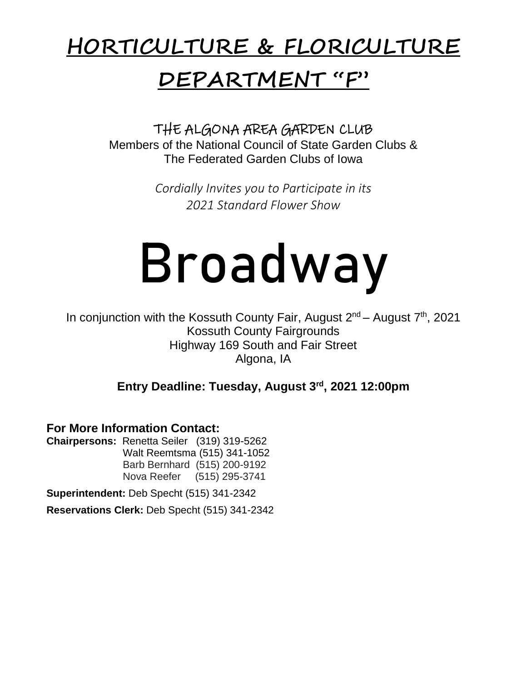# **HORTICULTURE & FLORICULTURE**

# **DEPARTMENT "F"**

THE ALGONA AREA GARDEN CLUB Members of the National Council of State Garden Clubs & The Federated Garden Clubs of Iowa

> *Cordially Invites you to Participate in its 2021 Standard Flower Show*

# Broadway

In conjunction with the Kossuth County Fair, August 2<sup>nd</sup> – August 7<sup>th</sup>, 2021 Kossuth County Fairgrounds Highway 169 South and Fair Street Algona, IA

**Entry Deadline: Tuesday, August 3rd , 2021 12:00pm** 

**For More Information Contact:** 

**Chairpersons:** Renetta Seiler (319) 319-5262 Walt Reemtsma (515) 341-1052 Barb Bernhard (515) 200-9192 Nova Reefer (515) 295-3741

**Superintendent:** Deb Specht (515) 341-2342

**Reservations Clerk:** Deb Specht (515) 341-2342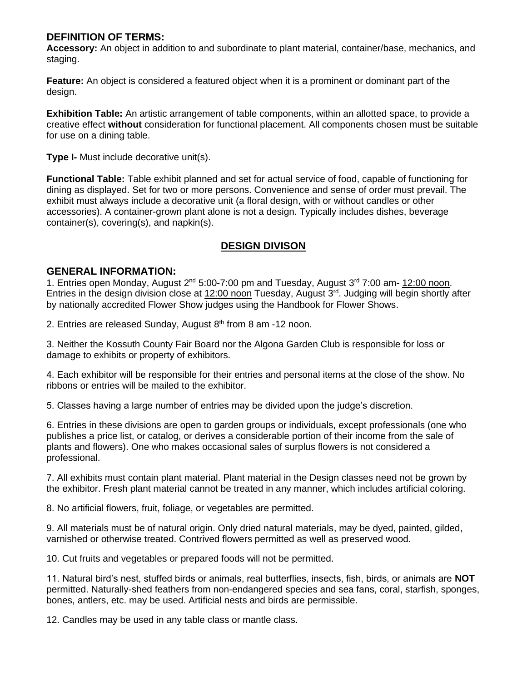#### **DEFINITION OF TERMS:**

**Accessory:** An object in addition to and subordinate to plant material, container/base, mechanics, and staging.

**Feature:** An object is considered a featured object when it is a prominent or dominant part of the design.

**Exhibition Table:** An artistic arrangement of table components, within an allotted space, to provide a creative effect **without** consideration for functional placement. All components chosen must be suitable for use on a dining table.

**Type I-** Must include decorative unit(s).

**Functional Table:** Table exhibit planned and set for actual service of food, capable of functioning for dining as displayed. Set for two or more persons. Convenience and sense of order must prevail. The exhibit must always include a decorative unit (a floral design, with or without candles or other accessories). A container-grown plant alone is not a design. Typically includes dishes, beverage container(s), covering(s), and napkin(s).

#### **DESIGN DIVISON**

#### **GENERAL INFORMATION:**

1. Entries open Monday, August 2<sup>nd</sup> 5:00-7:00 pm and Tuesday, August 3<sup>rd</sup> 7:00 am- 12:00 noon. Entries in the design division close at 12:00 noon Tuesday, August 3<sup>rd</sup>. Judging will begin shortly after by nationally accredited Flower Show judges using the Handbook for Flower Shows.

2. Entries are released Sunday, August  $8<sup>th</sup>$  from 8 am -12 noon.

3. Neither the Kossuth County Fair Board nor the Algona Garden Club is responsible for loss or damage to exhibits or property of exhibitors.

4. Each exhibitor will be responsible for their entries and personal items at the close of the show. No ribbons or entries will be mailed to the exhibitor.

5. Classes having a large number of entries may be divided upon the judge's discretion.

6. Entries in these divisions are open to garden groups or individuals, except professionals (one who publishes a price list, or catalog, or derives a considerable portion of their income from the sale of plants and flowers). One who makes occasional sales of surplus flowers is not considered a professional.

7. All exhibits must contain plant material. Plant material in the Design classes need not be grown by the exhibitor. Fresh plant material cannot be treated in any manner, which includes artificial coloring.

8. No artificial flowers, fruit, foliage, or vegetables are permitted.

9. All materials must be of natural origin. Only dried natural materials, may be dyed, painted, gilded, varnished or otherwise treated. Contrived flowers permitted as well as preserved wood.

10. Cut fruits and vegetables or prepared foods will not be permitted.

11. Natural bird's nest, stuffed birds or animals, real butterflies, insects, fish, birds, or animals are **NOT** permitted. Naturally-shed feathers from non-endangered species and sea fans, coral, starfish, sponges, bones, antlers, etc. may be used. Artificial nests and birds are permissible.

12. Candles may be used in any table class or mantle class.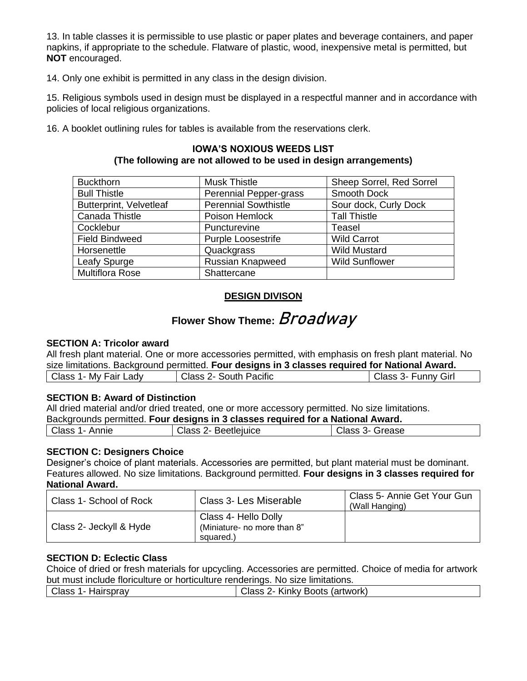13. In table classes it is permissible to use plastic or paper plates and beverage containers, and paper napkins, if appropriate to the schedule. Flatware of plastic, wood, inexpensive metal is permitted, but **NOT** encouraged.

14. Only one exhibit is permitted in any class in the design division.

15. Religious symbols used in design must be displayed in a respectful manner and in accordance with policies of local religious organizations.

Ī 16. A booklet outlining rules for tables is available from the reservations clerk.

#### **IOWA'S NOXIOUS WEEDS LIST (The following are not allowed to be used in design arrangements)**

| <b>Buckthorn</b>               | <b>Musk Thistle</b>                              | Sheep Sorrel, Red Sorrel |
|--------------------------------|--------------------------------------------------|--------------------------|
| <b>Bull Thistle</b>            | Perennial Pepper-grass                           | Smooth Dock              |
| <b>Butterprint, Velvetleaf</b> | <b>Perennial Sowthistle</b>                      | Sour dock, Curly Dock    |
| Canada Thistle                 | Poison Hemlock                                   | <b>Tall Thistle</b>      |
| Cocklebur                      | Puncturevine                                     | Teasel                   |
| <b>Field Bindweed</b>          | <b>Wild Carrot</b><br><b>Purple Loosestrife</b>  |                          |
| Horsenettle                    | <b>Wild Mustard</b><br>Quackgrass                |                          |
| Leafy Spurge                   | <b>Russian Knapweed</b><br><b>Wild Sunflower</b> |                          |
| <b>Multiflora Rose</b>         | Shattercane                                      |                          |

#### **DESIGN DIVISON**

## Flower Show Theme: Broadway

#### **SECTION A: Tricolor award**

All fresh plant material. One or more accessories permitted, with emphasis on fresh plant material. No size limitations. Background permitted. **Four designs in 3 classes required for National Award.** 

| Class :<br>Fair<br>Mv<br>∟adv<br>. . | <b>Class</b><br><b>South Pacific</b><br>$\mathbb{Z}$ | <b>Funny Girl</b><br>' -3 lass- |
|--------------------------------------|------------------------------------------------------|---------------------------------|
|                                      |                                                      |                                 |

#### **SECTION B: Award of Distinction**

All dried material and/or dried treated, one or more accessory permitted. No size limitations.

Backgrounds permitted. **Four designs in 3 classes required for a National Award.** 

| Class<br>Annie | " here<br>Beetleiuice<br>בבוש | $\sim$<br>arease<br>Class<br>∼- |
|----------------|-------------------------------|---------------------------------|
|                |                               |                                 |

#### **SECTION C: Designers Choice**

Designer's choice of plant materials. Accessories are permitted, but plant material must be dominant. Features allowed. No size limitations. Background permitted. **Four designs in 3 classes required for National Award.** 

| Class 1- School of Rock | Class 3- Les Miserable                                           | Class 5- Annie Get Your Gun<br>(Wall Hanging) |
|-------------------------|------------------------------------------------------------------|-----------------------------------------------|
| Class 2- Jeckyll & Hyde | Class 4- Hello Dolly<br>(Miniature- no more than 8"<br>squared.) |                                               |

#### **SECTION D: Eclectic Class**

Choice of dried or fresh materials for upcycling. Accessories are permitted. Choice of media for artwork but must include floriculture or horticulture renderings. No size limitations.

| Class<br>Hairspray<br>. | (artwork)<br>Kinky Boots<br>ה הו'<br>uldəə z |
|-------------------------|----------------------------------------------|
|                         |                                              |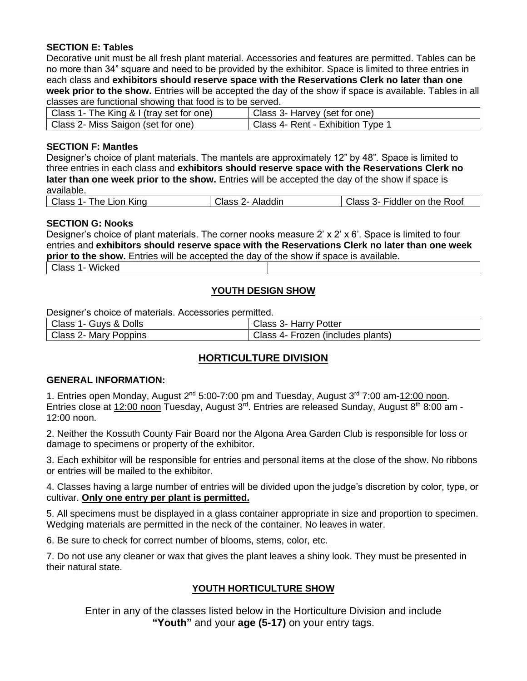#### **SECTION E: Tables**

Decorative unit must be all fresh plant material. Accessories and features are permitted. Tables can be no more than 34" square and need to be provided by the exhibitor. Space is limited to three entries in each class and **exhibitors should reserve space with the Reservations Clerk no later than one week prior to the show.** Entries will be accepted the day of the show if space is available. Tables in all classes are functional showing that food is to be served.

| Class 1- The King & I (tray set for one) | Class 3- Harvey (set for one)     |
|------------------------------------------|-----------------------------------|
| Class 2- Miss Saigon (set for one)       | Class 4- Rent - Exhibition Type 1 |

#### **SECTION F: Mantles**

Designer's choice of plant materials. The mantels are approximately 12" by 48". Space is limited to three entries in each class and **exhibitors should reserve space with the Reservations Clerk no later than one week prior to the show.** Entries will be accepted the day of the show if space is available.

| Class 1- The Lion King | Class 2- Aladdin | Class 3- Fiddler on the Roof |
|------------------------|------------------|------------------------------|
|                        |                  |                              |

#### **SECTION G: Nooks**

Designer's choice of plant materials. The corner nooks measure  $2' \times 2' \times 6'$ . Space is limited to four entries and **exhibitors should reserve space with the Reservations Clerk no later than one week prior to the show.** Entries will be accepted the day of the show if space is available.

Class 1- Wicked

#### **YOUTH DESIGN SHOW**

Designer's choice of materials. Accessories permitted.

| Class 1- Guys & Dolls | Class 3- Harry Potter             |
|-----------------------|-----------------------------------|
| Class 2- Mary Poppins | Class 4- Frozen (includes plants) |

#### **HORTICULTURE DIVISION**

#### **GENERAL INFORMATION:**

1. Entries open Monday, August 2<sup>nd</sup> 5:00-7:00 pm and Tuesday, August 3<sup>rd</sup> 7:00 am-12:00 noon. Entries close at 12:00 noon Tuesday, August 3<sup>rd</sup>. Entries are released Sunday, August 8<sup>th</sup> 8:00 am -12:00 noon.

2. Neither the Kossuth County Fair Board nor the Algona Area Garden Club is responsible for loss or damage to specimens or property of the exhibitor.

3. Each exhibitor will be responsible for entries and personal items at the close of the show. No ribbons or entries will be mailed to the exhibitor.

4. Classes having a large number of entries will be divided upon the judge's discretion by color, type, or cultivar. **Only one entry per plant is permitted.**

5. All specimens must be displayed in a glass container appropriate in size and proportion to specimen. Wedging materials are permitted in the neck of the container. No leaves in water.

6. Be sure to check for correct number of blooms, stems, color, etc.

7. Do not use any cleaner or wax that gives the plant leaves a shiny look. They must be presented in their natural state.

#### **YOUTH HORTICULTURE SHOW**

Enter in any of the classes listed below in the Horticulture Division and include **"Youth"** and your **age (5-17)** on your entry tags.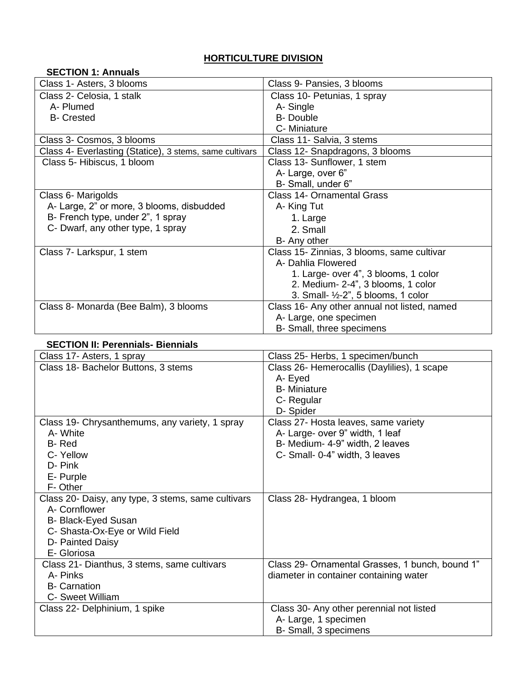#### **HORTICULTURE DIVISION**

| <b>SECTION 1: Annuals</b>                               |                                                |  |
|---------------------------------------------------------|------------------------------------------------|--|
| Class 1- Asters, 3 blooms                               | Class 9- Pansies, 3 blooms                     |  |
| Class 2- Celosia, 1 stalk                               | Class 10- Petunias, 1 spray                    |  |
| A- Plumed                                               | A-Single                                       |  |
| <b>B-</b> Crested                                       | <b>B-Double</b>                                |  |
|                                                         | C- Miniature                                   |  |
| Class 3- Cosmos, 3 blooms                               | Class 11- Salvia, 3 stems                      |  |
| Class 4- Everlasting (Statice), 3 stems, same cultivars | Class 12- Snapdragons, 3 blooms                |  |
| Class 5- Hibiscus, 1 bloom                              | Class 13- Sunflower, 1 stem                    |  |
|                                                         | A-Large, over 6"                               |  |
|                                                         | B- Small, under 6"                             |  |
| Class 6- Marigolds                                      | <b>Class 14- Ornamental Grass</b>              |  |
| A- Large, 2" or more, 3 blooms, disbudded               | A- King Tut                                    |  |
| B- French type, under 2", 1 spray                       | 1. Large                                       |  |
| C- Dwarf, any other type, 1 spray                       | 2. Small                                       |  |
|                                                         | B- Any other                                   |  |
| Class 7- Larkspur, 1 stem                               | Class 15- Zinnias, 3 blooms, same cultivar     |  |
|                                                         | A- Dahlia Flowered                             |  |
|                                                         | 1. Large- over 4", 3 blooms, 1 color           |  |
|                                                         | 2. Medium- 2-4", 3 blooms, 1 color             |  |
|                                                         | 3. Small- $\frac{1}{2}$ -2", 5 blooms, 1 color |  |
| Class 8- Monarda (Bee Balm), 3 blooms                   | Class 16- Any other annual not listed, named   |  |
|                                                         | A- Large, one specimen                         |  |
|                                                         | B- Small, three specimens                      |  |

#### **SECTION II: Perennials- Biennials**

| Class 17- Asters, 1 spray                          | Class 25- Herbs, 1 specimen/bunch               |  |  |
|----------------------------------------------------|-------------------------------------------------|--|--|
| Class 18- Bachelor Buttons, 3 stems                | Class 26- Hemerocallis (Daylilies), 1 scape     |  |  |
|                                                    | A- Eyed                                         |  |  |
|                                                    | <b>B</b> - Miniature                            |  |  |
|                                                    | C- Regular                                      |  |  |
|                                                    | D-Spider                                        |  |  |
| Class 19- Chrysanthemums, any variety, 1 spray     | Class 27- Hosta leaves, same variety            |  |  |
| A-White                                            | A- Large- over 9" width, 1 leaf                 |  |  |
| B-Red                                              | B- Medium- 4-9" width, 2 leaves                 |  |  |
| C-Yellow                                           | C- Small- 0-4" width, 3 leaves                  |  |  |
| D-Pink                                             |                                                 |  |  |
| E- Purple                                          |                                                 |  |  |
| F-Other                                            |                                                 |  |  |
| Class 20- Daisy, any type, 3 stems, same cultivars | Class 28- Hydrangea, 1 bloom                    |  |  |
| A- Cornflower                                      |                                                 |  |  |
| B- Black-Eyed Susan                                |                                                 |  |  |
| C- Shasta-Ox-Eye or Wild Field                     |                                                 |  |  |
| D- Painted Daisy                                   |                                                 |  |  |
| E- Gloriosa                                        |                                                 |  |  |
| Class 21- Dianthus, 3 stems, same cultivars        | Class 29- Ornamental Grasses, 1 bunch, bound 1" |  |  |
| A- Pinks                                           | diameter in container containing water          |  |  |
| <b>B-</b> Carnation                                |                                                 |  |  |
| C- Sweet William                                   |                                                 |  |  |
| Class 22- Delphinium, 1 spike                      | Class 30- Any other perennial not listed        |  |  |
|                                                    | A- Large, 1 specimen                            |  |  |
|                                                    | B- Small, 3 specimens                           |  |  |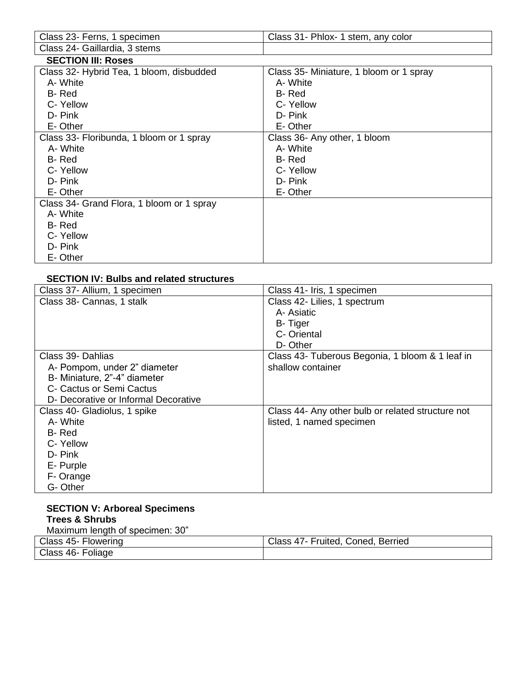| Class 23- Ferns, 1 specimen               | Class 31- Phlox- 1 stem, any color      |  |  |
|-------------------------------------------|-----------------------------------------|--|--|
| Class 24- Gaillardia, 3 stems             |                                         |  |  |
| <b>SECTION III: Roses</b>                 |                                         |  |  |
| Class 32- Hybrid Tea, 1 bloom, disbudded  | Class 35- Miniature, 1 bloom or 1 spray |  |  |
| A- White                                  | A-White                                 |  |  |
| B-Red                                     | B-Red                                   |  |  |
| C-Yellow                                  | C-Yellow                                |  |  |
| D- Pink                                   | D- Pink                                 |  |  |
| E-Other                                   | E-Other                                 |  |  |
| Class 33- Floribunda, 1 bloom or 1 spray  | Class 36- Any other, 1 bloom            |  |  |
| A-White                                   | A-White                                 |  |  |
| B-Red                                     | B-Red                                   |  |  |
| C-Yellow                                  | C-Yellow                                |  |  |
| D- Pink                                   | D- Pink                                 |  |  |
| E-Other                                   | E-Other                                 |  |  |
| Class 34- Grand Flora, 1 bloom or 1 spray |                                         |  |  |
| A-White                                   |                                         |  |  |
| B-Red                                     |                                         |  |  |
| C-Yellow                                  |                                         |  |  |
| D-Pink                                    |                                         |  |  |
| E-Other                                   |                                         |  |  |

#### **SECTION IV: Bulbs and related structures**

| Class 37- Allium, 1 specimen         | Class 41- Iris, 1 specimen                        |  |  |
|--------------------------------------|---------------------------------------------------|--|--|
| Class 38- Cannas, 1 stalk            | Class 42- Lilies, 1 spectrum                      |  |  |
|                                      | A- Asiatic                                        |  |  |
|                                      | <b>B-Tiger</b>                                    |  |  |
|                                      | C- Oriental                                       |  |  |
|                                      | D-Other                                           |  |  |
| Class 39- Dahlias                    | Class 43- Tuberous Begonia, 1 bloom & 1 leaf in   |  |  |
| A- Pompom, under 2" diameter         | shallow container                                 |  |  |
| B- Miniature, 2"-4" diameter         |                                                   |  |  |
| C- Cactus or Semi Cactus             |                                                   |  |  |
| D- Decorative or Informal Decorative |                                                   |  |  |
| Class 40- Gladiolus, 1 spike         | Class 44- Any other bulb or related structure not |  |  |
| A- White                             | listed, 1 named specimen                          |  |  |
| B-Red                                |                                                   |  |  |
| C-Yellow                             |                                                   |  |  |
| D-Pink                               |                                                   |  |  |
| E- Purple                            |                                                   |  |  |
| F- Orange                            |                                                   |  |  |
| G-Other                              |                                                   |  |  |

#### **SECTION V: Arboreal Specimens Trees & Shrubs**  Maximum length of specimen: 30"

| Class 45- Flowering | Coned,<br>Berriea<br>Fruited,<br>Class<br>: 47 - |
|---------------------|--------------------------------------------------|
| Class 46- Foliage   |                                                  |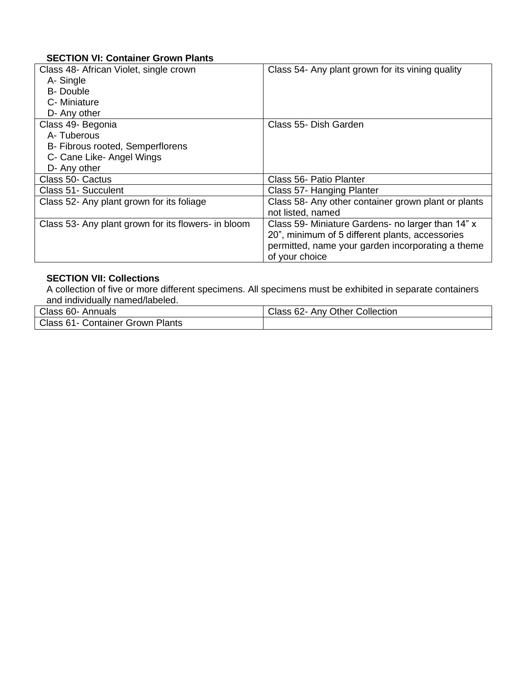#### **SECTION VI: Container Grown Plants**

| Class 48- African Violet, single crown              | Class 54- Any plant grown for its vining quality    |
|-----------------------------------------------------|-----------------------------------------------------|
| A-Single                                            |                                                     |
| <b>B-Double</b>                                     |                                                     |
| C- Miniature                                        |                                                     |
| D- Any other                                        |                                                     |
| Class 49- Begonia                                   | Class 55- Dish Garden                               |
| A-Tuberous                                          |                                                     |
| B- Fibrous rooted, Semperflorens                    |                                                     |
| C- Cane Like- Angel Wings                           |                                                     |
| D- Any other                                        |                                                     |
| Class 50- Cactus                                    | Class 56- Patio Planter                             |
| Class 51- Succulent                                 | Class 57- Hanging Planter                           |
| Class 52- Any plant grown for its foliage           | Class 58- Any other container grown plant or plants |
|                                                     | not listed, named                                   |
| Class 53- Any plant grown for its flowers- in bloom | Class 59- Miniature Gardens- no larger than 14" x   |
|                                                     | 20", minimum of 5 different plants, accessories     |
|                                                     | permitted, name your garden incorporating a theme   |
|                                                     | of your choice                                      |

#### **SECTION VII: Collections**

A collection of five or more different specimens. All specimens must be exhibited in separate containers and individually named/labeled.

| Class 60-<br>Annuals                       | Class 62-<br><b>Other Collection</b><br>Anv |
|--------------------------------------------|---------------------------------------------|
| Class 61- 0<br>Plants<br>Container Grown ! |                                             |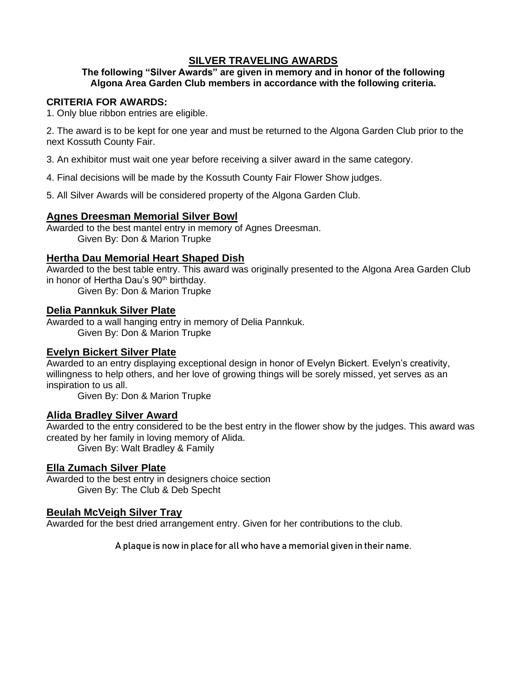#### **SILVER TRAVELING AWARDS**

#### **The following "Silver Awards" are given in memory and in honor of the following Algona Area Garden Club members in accordance with the following criteria.**

#### **CRITERIA FOR AWARDS:**

1. Only blue ribbon entries are eligible.

2. The award is to be kept for one year and must be returned to the Algona Garden Club prior to the next Kossuth County Fair.

3. An exhibitor must wait one year before receiving a silver award in the same category.

4. Final decisions will be made by the Kossuth County Fair Flower Show judges.

5. All Silver Awards will be considered property of the Algona Garden Club.

#### **Agnes Dreesman Memorial Silver Bowl**

Awarded to the best mantel entry in memory of Agnes Dreesman. Given By: Don & Marion Trupke

#### **Hertha Dau Memorial Heart Shaped Dish**

Awarded to the best table entry. This award was originally presented to the Algona Area Garden Club in honor of Hertha Dau's 90<sup>th</sup> birthday. Given By: Don & Marion Trupke

#### **Delia Pannkuk Silver Plate**

Awarded to a wall hanging entry in memory of Delia Pannkuk. Given By: Don & Marion Trupke

#### **Evelyn Bickert Silver Plate**

Awarded to an entry displaying exceptional design in honor of Evelyn Bickert. Evelyn's creativity, willingness to help others, and her love of growing things will be sorely missed, yet serves as an inspiration to us all.

Given By: Don & Marion Trupke

#### **Alida Bradley Silver Award**

Awarded to the entry considered to be the best entry in the flower show by the judges. This award was created by her family in loving memory of Alida. Given By: Walt Bradley & Family

#### **Ella Zumach Silver Plate**

Awarded to the best entry in designers choice section Given By: The Club & Deb Specht

#### **Beulah McVeigh Silver Tray**

Awarded for the best dried arrangement entry. Given for her contributions to the club.

A plaque is now in place for all who have a memorial given in their name.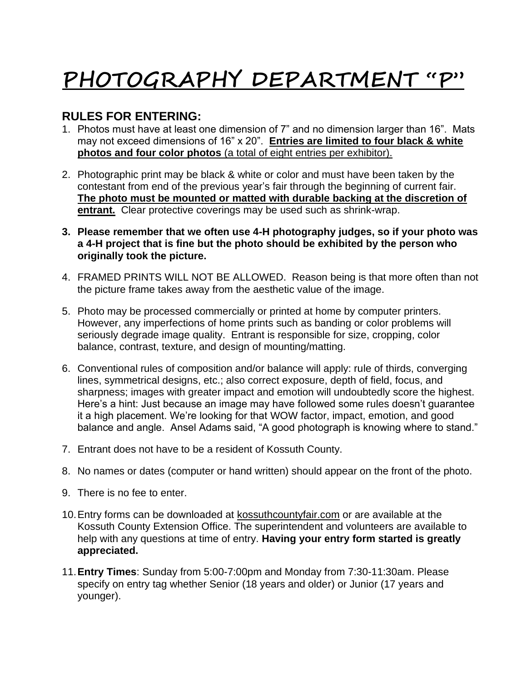# **PHOTOGRAPHY DEPARTMENT "P"**

## **RULES FOR ENTERING:**

- 1. Photos must have at least one dimension of 7" and no dimension larger than 16". Mats may not exceed dimensions of 16" x 20". **Entries are limited to four black & white photos and four color photos** (a total of eight entries per exhibitor).
- 2. Photographic print may be black & white or color and must have been taken by the contestant from end of the previous year's fair through the beginning of current fair. **The photo must be mounted or matted with durable backing at the discretion of entrant.** Clear protective coverings may be used such as shrink-wrap.
- **3. Please remember that we often use 4-H photography judges, so if your photo was a 4-H project that is fine but the photo should be exhibited by the person who originally took the picture.**
- 4. FRAMED PRINTS WILL NOT BE ALLOWED. Reason being is that more often than not the picture frame takes away from the aesthetic value of the image.
- 5. Photo may be processed commercially or printed at home by computer printers. However, any imperfections of home prints such as banding or color problems will seriously degrade image quality. Entrant is responsible for size, cropping, color balance, contrast, texture, and design of mounting/matting.
- 6. Conventional rules of composition and/or balance will apply: rule of thirds, converging lines, symmetrical designs, etc.; also correct exposure, depth of field, focus, and sharpness; images with greater impact and emotion will undoubtedly score the highest. Here's a hint: Just because an image may have followed some rules doesn't guarantee it a high placement. We're looking for that WOW factor, impact, emotion, and good balance and angle. Ansel Adams said, "A good photograph is knowing where to stand."
- 7. Entrant does not have to be a resident of Kossuth County.
- 8. No names or dates (computer or hand written) should appear on the front of the photo.
- 9. There is no fee to enter.
- 10.Entry forms can be downloaded at kossuthcountyfair.com or are available at the Kossuth County Extension Office. The superintendent and volunteers are available to help with any questions at time of entry. **Having your entry form started is greatly appreciated.**
- 11.**Entry Times**: Sunday from 5:00-7:00pm and Monday from 7:30-11:30am. Please specify on entry tag whether Senior (18 years and older) or Junior (17 years and younger).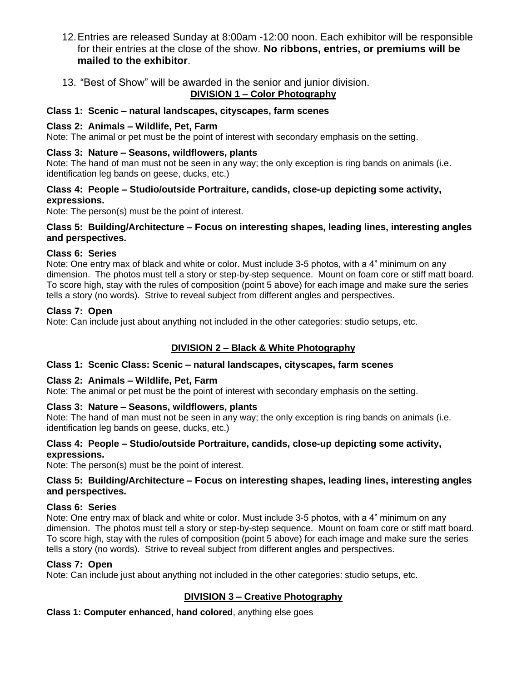- 12.Entries are released Sunday at 8:00am -12:00 noon. Each exhibitor will be responsible for their entries at the close of the show. **No ribbons, entries, or premiums will be mailed to the exhibitor**.
- 13. "Best of Show" will be awarded in the senior and junior division.

#### **DIVISION 1 – Color Photography**

#### **Class 1: Scenic – natural landscapes, cityscapes, farm scenes**

#### **Class 2: Animals – Wildlife, Pet, Farm**

Note: The animal or pet must be the point of interest with secondary emphasis on the setting.

#### **Class 3: Nature – Seasons, wildflowers, plants**

Note: The hand of man must not be seen in any way; the only exception is ring bands on animals (i.e. identification leg bands on geese, ducks, etc.)

#### **Class 4: People – Studio/outside Portraiture, candids, close-up depicting some activity, expressions.**

Note: The person(s) must be the point of interest.

#### **Class 5: Building/Architecture – Focus on interesting shapes, leading lines, interesting angles and perspectives.**

#### **Class 6: Series**

Note: One entry max of black and white or color. Must include 3-5 photos, with a 4" minimum on any dimension. The photos must tell a story or step-by-step sequence. Mount on foam core or stiff matt board. To score high, stay with the rules of composition (point 5 above) for each image and make sure the series tells a story (no words). Strive to reveal subject from different angles and perspectives.

#### **Class 7: Open**

Note: Can include just about anything not included in the other categories: studio setups, etc.

#### **DIVISION 2 – Black & White Photography**

#### **Class 1: Scenic Class: Scenic – natural landscapes, cityscapes, farm scenes**

#### **Class 2: Animals – Wildlife, Pet, Farm**

Note: The animal or pet must be the point of interest with secondary emphasis on the setting.

#### **Class 3: Nature – Seasons, wildflowers, plants**

Note: The hand of man must not be seen in any way; the only exception is ring bands on animals (i.e. identification leg bands on geese, ducks, etc.)

#### **Class 4: People – Studio/outside Portraiture, candids, close-up depicting some activity, expressions.**

Note: The person(s) must be the point of interest.

#### **Class 5: Building/Architecture – Focus on interesting shapes, leading lines, interesting angles and perspectives.**

#### **Class 6: Series**

Note: One entry max of black and white or color. Must include 3-5 photos, with a 4" minimum on any dimension. The photos must tell a story or step-by-step sequence. Mount on foam core or stiff matt board. To score high, stay with the rules of composition (point 5 above) for each image and make sure the series tells a story (no words). Strive to reveal subject from different angles and perspectives.

#### **Class 7: Open**

Note: Can include just about anything not included in the other categories: studio setups, etc.

#### **DIVISION 3 – Creative Photography**

**Class 1: Computer enhanced, hand colored**, anything else goes